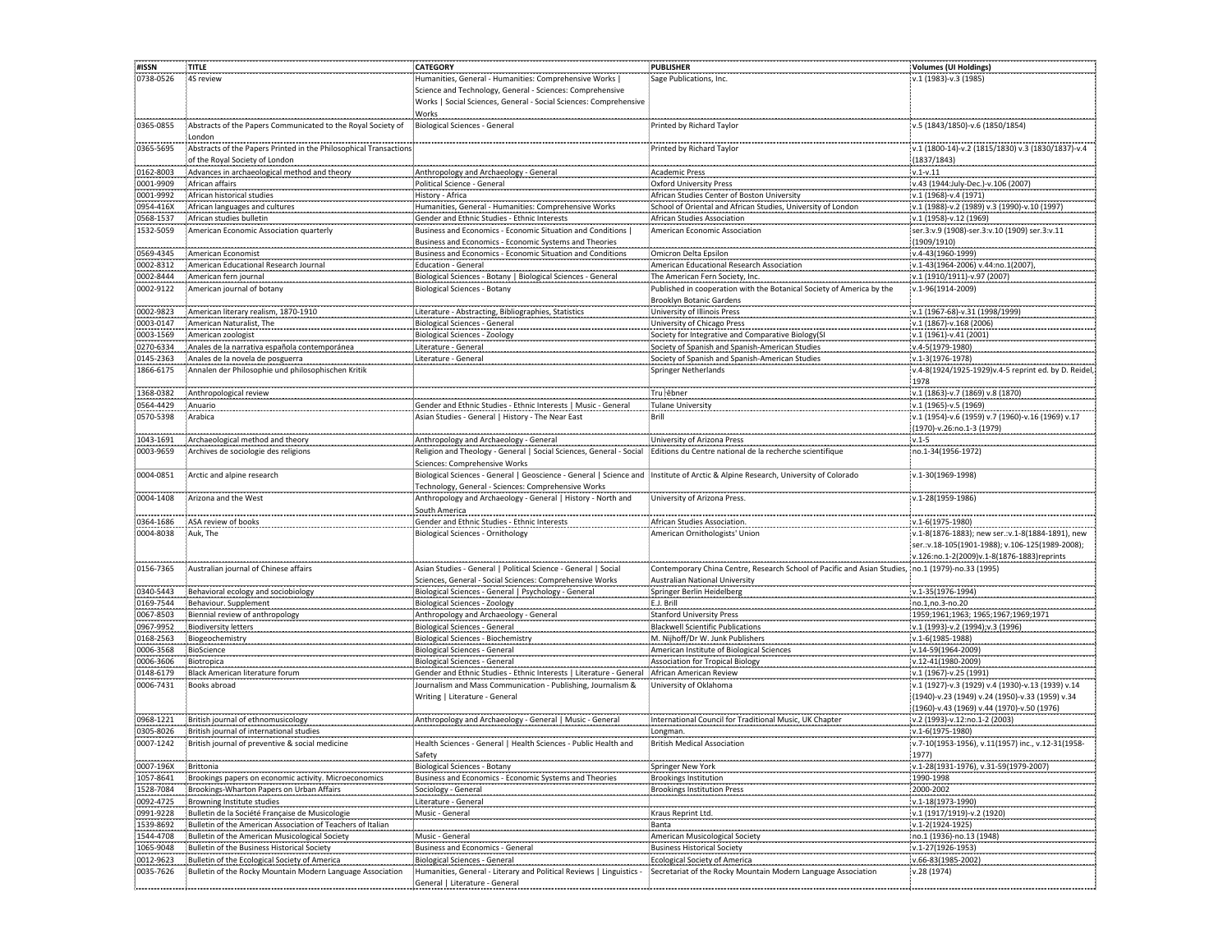| #ISSN                  | <b>TITLE</b>                                                             | <b>CATEGORY</b>                                                                                                                  | PUBLISHER                                                                                         | Volumes (UI Holdings)                                                      |
|------------------------|--------------------------------------------------------------------------|----------------------------------------------------------------------------------------------------------------------------------|---------------------------------------------------------------------------------------------------|----------------------------------------------------------------------------|
| 0738-0526              | 4S review                                                                | Humanities, General - Humanities: Comprehensive Works                                                                            | Sage Publications, Inc.                                                                           | v.1 (1983)-v.3 (1985)                                                      |
|                        |                                                                          | Science and Technology, General - Sciences: Comprehensive                                                                        |                                                                                                   |                                                                            |
|                        |                                                                          | Works   Social Sciences, General - Social Sciences: Comprehensive                                                                |                                                                                                   |                                                                            |
|                        |                                                                          | Works                                                                                                                            |                                                                                                   |                                                                            |
| 0365-0855              | Abstracts of the Papers Communicated to the Royal Society of             | Biological Sciences - General                                                                                                    | Printed by Richard Taylor                                                                         | v.5 (1843/1850)-v.6 (1850/1854)                                            |
|                        | London                                                                   |                                                                                                                                  |                                                                                                   |                                                                            |
| 0365-5695              | Abstracts of the Papers Printed in the Philosophical Transactions        |                                                                                                                                  | Printed by Richard Taylor                                                                         | v.1 (1800-14)-v.2 (1815/1830) v.3 (1830/1837)-v.4                          |
|                        | of the Royal Society of London                                           |                                                                                                                                  |                                                                                                   | (1837/1843)                                                                |
| 0162-8003              | Advances in archaeological method and theory                             | Anthropology and Archaeology - General                                                                                           | Academic Press                                                                                    | $v.1-v.11$                                                                 |
| 0001-9909              | African affairs                                                          | Political Science - General                                                                                                      | <b>Oxford University Press</b>                                                                    | v.43 (1944:July-Dec.)-v.106 (2007)                                         |
| 0001-9992              | African historical studies                                               | History - Africa                                                                                                                 | African Studies Center of Boston University                                                       | v.1 (1968)-v.4 (1971)                                                      |
| 0954-416X              | African languages and cultures                                           | Humanities, General - Humanities: Comprehensive Works                                                                            | School of Oriental and African Studies, University of London                                      | v.1 (1988)-v.2 (1989) v.3 (1990)-v.10 (1997)                               |
| 0568-1537              | African studies bulletin                                                 | Gender and Ethnic Studies - Ethnic Interests                                                                                     | African Studies Association                                                                       | v.1 (1958)-v.12 (1969)                                                     |
| 1532-5059              | American Economic Association quarterly                                  | Business and Economics - Economic Situation and Conditions                                                                       | American Economic Association                                                                     | ser.3:v.9 (1908)-ser.3:v.10 (1909) ser.3:v.11                              |
|                        |                                                                          | Business and Economics - Economic Systems and Theories                                                                           |                                                                                                   | (1909/1910)                                                                |
| 0569-4345              | American Economist                                                       | Business and Economics - Economic Situation and Conditions                                                                       | Omicron Delta Epsilon                                                                             | v.4-43(1960-1999)                                                          |
| 0002-8312              | American Educational Research Journal                                    | <b>Education - General</b>                                                                                                       | American Educational Research Association                                                         | v.1-43(1964-2006) v.44:no.1(2007)                                          |
| 0002-8444              | American fern journal                                                    | Biological Sciences - Botany   Biological Sciences - General                                                                     | The American Fern Society, Inc.                                                                   | v.1 (1910/1911)-v.97 (2007)                                                |
| 0002-9122              | American journal of botany                                               | Biological Sciences - Botany                                                                                                     | Published in cooperation with the Botanical Society of America by the                             | v.1-96(1914-2009)                                                          |
|                        |                                                                          |                                                                                                                                  | Brooklyn Botanic Gardens                                                                          |                                                                            |
| 0002-9823              | American literary realism, 1870-1910                                     | Literature - Abstracting, Bibliographies, Statistics                                                                             | University of Illinois Press                                                                      | v.1 (1967-68)-v.31 (1998/1999)                                             |
| 0003-0147              | American Naturalist, The                                                 | Biological Sciences - General                                                                                                    | University of Chicago Press                                                                       | v.1 (1867)-v.168 (2006)                                                    |
| 0003-1569              | American zoologist                                                       | <b>Biological Sciences - Zoology</b>                                                                                             | Society for Integrative and Comparative Biology(9                                                 | v.1 (1961)-v.41 (2001)                                                     |
| 0270-6334              | Anales de la narrativa española contemporánea                            | Literature - General                                                                                                             | Society of Spanish and Spanish-American Studies                                                   | v.4-5(1979-1980)                                                           |
| 0145-2363              | Anales de la novela de posguerra                                         | Literature - General                                                                                                             | Society of Spanish and Spanish-American Studies                                                   | v.1-3(1976-1978)                                                           |
| 1866-6175              | Annalen der Philosophie und philosophischen Kriti                        |                                                                                                                                  | Springer Netherlands                                                                              | v.4-8(1924/1925-1929)v.4-5 reprint ed. by D. Reidel                        |
|                        |                                                                          |                                                                                                                                  |                                                                                                   | 1978                                                                       |
| 1368-0382              |                                                                          |                                                                                                                                  | ∶Tru ⊦êbner                                                                                       | v.1 (1863)-v.7 (1869) v.8 (1870)                                           |
| 0564-4429              | Anthropological review                                                   |                                                                                                                                  |                                                                                                   |                                                                            |
| 0570-5398              | Anuario<br>Arabica                                                       | Gender and Ethnic Studies - Ethnic Interests   Music - General<br>Asian Studies - General   History - The Near East              | Tulane University<br>Brill                                                                        | v.1 (1965)-v.5 (1969)<br>v.1 (1954)-v.6 (1959) v.7 (1960)-v.16 (1969) v.17 |
|                        |                                                                          |                                                                                                                                  |                                                                                                   |                                                                            |
|                        |                                                                          |                                                                                                                                  |                                                                                                   | (1970)-v.26:no.1-3 (1979)                                                  |
| 1043-1691<br>0003-9659 | Archaeological method and theory<br>Archives de sociologie des religions | Anthropology and Archaeology - General                                                                                           | University of Arizona Press                                                                       | $v.1 - 5$<br>no.1-34(1956-1972)                                            |
|                        |                                                                          | Religion and Theology - General   Social Sciences, General - Social                                                              | Editions du Centre national de la recherche scientifique                                          |                                                                            |
|                        |                                                                          | Sciences: Comprehensive Works                                                                                                    |                                                                                                   |                                                                            |
| 0004-0851              | Arctic and alpine research                                               | Biological Sciences - General   Geoscience - General   Science and Institute of Arctic & Alpine Research, University of Colorado |                                                                                                   | v.1-30(1969-1998)                                                          |
|                        | Arizona and the West                                                     | Technology, General - Sciences: Comprehensive Works                                                                              |                                                                                                   |                                                                            |
| 0004-1408              |                                                                          | Anthropology and Archaeology - General   History - North and                                                                     | University of Arizona Press                                                                       | v.1-28(1959-1986)                                                          |
|                        |                                                                          | South America                                                                                                                    |                                                                                                   |                                                                            |
| 0364-1686              | ASA review of books                                                      | Gender and Ethnic Studies - Ethnic Interests                                                                                     | African Studies Association                                                                       | v.1-6(1975-1980                                                            |
| 0004-8038              | Auk, The                                                                 | <b>Biological Sciences - Ornithology</b>                                                                                         | American Ornithologists' Union                                                                    | v.1-8(1876-1883); new ser.:v.1-8(1884-1891), new                           |
|                        |                                                                          |                                                                                                                                  |                                                                                                   | ser.:v.18-105(1901-1988); v.106-125(1989-2008);                            |
|                        |                                                                          |                                                                                                                                  |                                                                                                   | v.126:no.1-2(2009)v.1-8(1876-1883)reprints                                 |
| 0156-7365              | Australian journal of Chinese affairs                                    | Asian Studies - General   Political Science - General   Social                                                                   | Contemporary China Centre, Research School of Pacific and Asian Studies, no.1 (1979)-no.33 (1995) |                                                                            |
|                        |                                                                          | Sciences, General - Social Sciences: Comprehensive Works                                                                         | Australian National University                                                                    |                                                                            |
| 0340-5443              | Behavioral ecology and sociobiology                                      | Biological Sciences - General   Psychology - General                                                                             | Springer Berlin Heidelberg                                                                        | v.1-35(1976-1994)                                                          |
| 0169-7544              | Behaviour. Supplement                                                    | <b>Biological Sciences - Zoology</b>                                                                                             | E.J. Brill                                                                                        | no.1,no.3-no.20                                                            |
| 0067-8503              | Biennial review of anthropology                                          | Anthropology and Archaeology - General                                                                                           | <b>Stanford University Press</b>                                                                  | 1959;1961;1963; 1965;1967;1969;1971                                        |
| 0967-9952              | <b>Biodiversity letters</b>                                              | Biological Sciences - General                                                                                                    | <b>Blackwell Scientific Publications</b>                                                          | v.1 (1993)-v.2 (1994);v.3 (1996)                                           |
| 0168-2563              | Biogeochemistry                                                          | <b>Biological Sciences - Biochemistry</b>                                                                                        | M. Nijhoff/Dr W. Junk Publishers                                                                  | $v.1 - 6(1985 - 1988)$                                                     |
| 0006-3568              | BioScience                                                               | Biological Sciences - General                                                                                                    | American Institute of Biological Sciences                                                         | v.14-59(1964-2009)                                                         |
| 0006-3606              | Biotropica                                                               | <b>Biological Sciences - General</b>                                                                                             | Association for Tropical Biology                                                                  | v.12-41(1980-2009)                                                         |
| 0148-6179              | Black American literature forum                                          | Gender and Ethnic Studies - Ethnic Interests   Literature - General                                                              | African American Review                                                                           | v.1 (1967)-v.25 (1991)                                                     |
| 0006-7431              | Books abroad                                                             | Journalism and Mass Communication - Publishing, Journalism &                                                                     | University of Oklahoma                                                                            | v.1 (1927)-v.3 (1929) v.4 (1930)-v.13 (1939) v.14                          |
|                        |                                                                          | Writing   Literature - General                                                                                                   |                                                                                                   | (1940)-v.23 (1949) v.24 (1950)-v.33 (1959) v.34                            |
|                        |                                                                          |                                                                                                                                  |                                                                                                   | (1960)-v.43 (1969) v.44 (1970)-v.50 (1976)                                 |
| 0968-1221              | British journal of ethnomusicology                                       | Anthropology and Archaeology - General   Music - General                                                                         | International Council for Traditional Music, UK Chapter                                           | v.2 (1993)-v.12:no.1-2 (2003)                                              |
| 0305-8026              | British journal of international studies                                 |                                                                                                                                  | Longman                                                                                           | v.1-6(1975-1980)                                                           |
| 0007-1242              | British journal of preventive & social medicine                          | Health Sciences - General   Health Sciences - Public Health and                                                                  | <b>British Medical Association</b>                                                                | v.7-10(1953-1956), v.11(1957) inc., v.12-31(1958-                          |
|                        |                                                                          | Safety                                                                                                                           |                                                                                                   | 1977)                                                                      |
| 0007-196X              | Brittonia                                                                | Biological Sciences - Botany                                                                                                     | Springer New York                                                                                 | v.1-28(1931-1976), v.31-59(1979-2007)                                      |
| 1057-8641              | Brookings papers on economic activity. Microeconomics                    | Business and Economics - Economic Systems and Theories                                                                           | <b>Brookings Institution</b>                                                                      | 1990-1998                                                                  |
| 1528-7084              | Brookings-Wharton Papers on Urban Affairs                                | Sociology - General                                                                                                              | <b>Brookings Institution Press</b>                                                                | 2000-2002                                                                  |
| 0092-4725              | Browning Institute studies                                               | Literature - General                                                                                                             |                                                                                                   | v.1-18(1973-1990)                                                          |
| 0991-9228              | Bulletin de la Société Française de Musicologie                          | Music - General                                                                                                                  | Kraus Reprint Ltd.                                                                                | v.1 (1917/1919)-v.2 (1920                                                  |
| 1539-8692              | Bulletin of the American Association of Teachers of Italian              |                                                                                                                                  | Banta                                                                                             | v.1-2(1924-1925)                                                           |
| 1544-4708              | Bulletin of the American Musicological Society                           | Music - General                                                                                                                  | American Musicological Society                                                                    | no.1 (1936)-no.13 (1948)                                                   |
| 1065-9048              | Bulletin of the Business Historical Society                              | Business and Economics - General                                                                                                 | <b>Business Historical Society</b>                                                                | v.1-27(1926-1953)                                                          |
| 0012-9623              | Bulletin of the Ecological Society of America                            | <b>Biological Sciences - General</b>                                                                                             | <b>Ecological Society of America</b>                                                              | v.66-83(1985-2002)                                                         |
| 0035-7626              | Bulletin of the Rocky Mountain Modern Language Association               | Humanities, General - Literary and Political Reviews<br>Linguistics                                                              | Secretariat of the Rocky Mountain Modern Language Association                                     | v.28 (1974)                                                                |
|                        |                                                                          | General   Literature - General                                                                                                   |                                                                                                   |                                                                            |
|                        |                                                                          |                                                                                                                                  |                                                                                                   |                                                                            |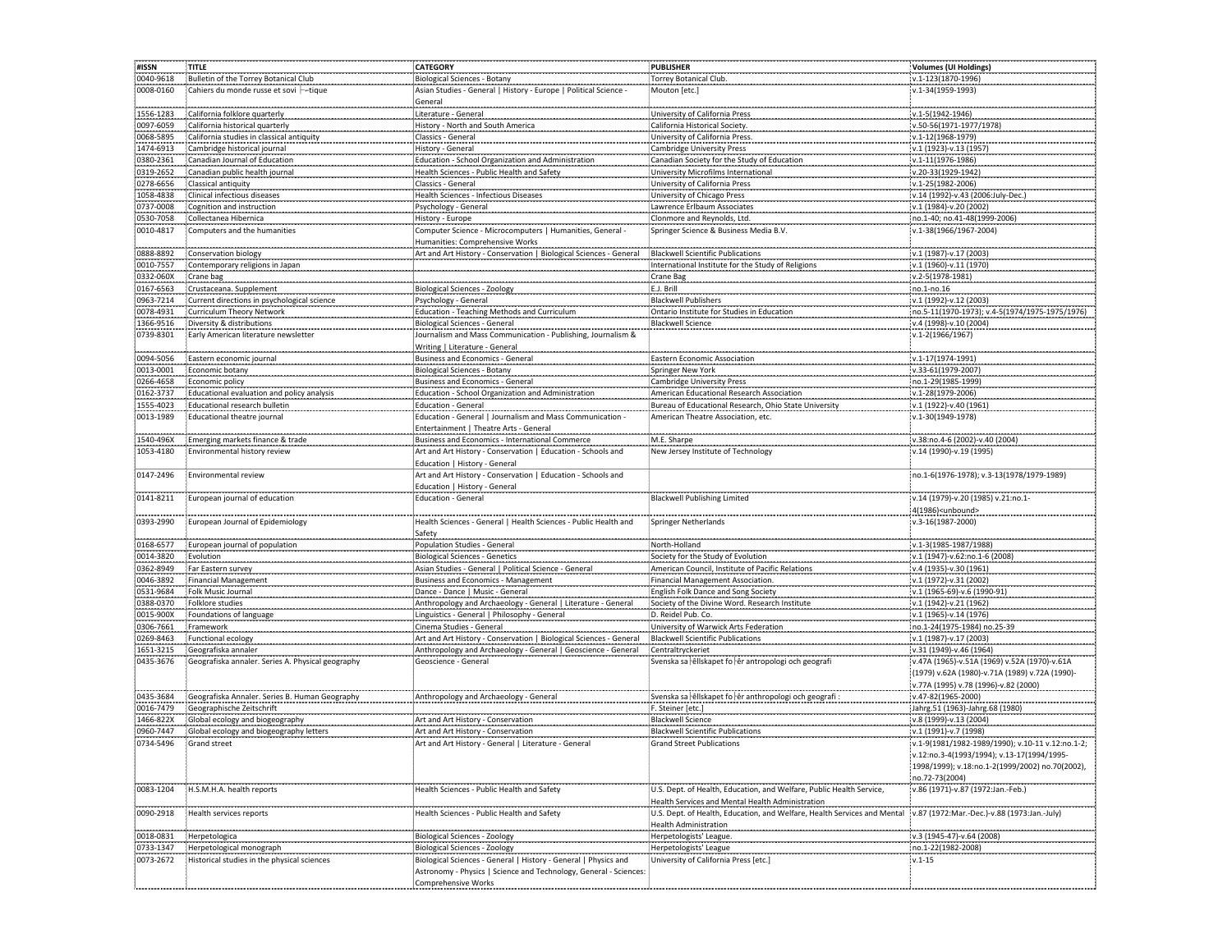| #ISSN          | <b>TITLE</b>                                      | <b>CATEGORY</b>                                                    | <b>PUBLISHER</b>                                                         | <b>Volumes (UI Holdings)</b>                     |
|----------------|---------------------------------------------------|--------------------------------------------------------------------|--------------------------------------------------------------------------|--------------------------------------------------|
| 0040-9618      | Bulletin of the Torrey Botanical Club             | <b>Biological Sciences - Botany</b>                                | Torrey Botanical Club.                                                   | v.1-123(1870-1996)                               |
| 0008-0160      | Cahiers du monde russe et sovi -- tique           | Asian Studies - General   History - Europe   Political Science -   | Mouton [etc.]                                                            | v.1-34(1959-1993)                                |
|                |                                                   |                                                                    |                                                                          |                                                  |
|                |                                                   | General                                                            |                                                                          |                                                  |
| 1556-1283      | California folklore quarterly                     | Literature - General                                               | University of California Press                                           | v.1-5(1942-1946)                                 |
| 0097-6059      | California historical quarterly                   | History - North and South America                                  | California Historical Society.                                           | v.50-56(1971-1977/1978)                          |
| 0068-5895      | California studies in classical antiquity         | Classics - General                                                 | University of California Press.                                          | v.1-12(1968-1979)                                |
| 1474-6913      | Cambridge historical journal                      | History - General                                                  | <b>Cambridge University Press</b>                                        | v.1 (1923)-v.13 (1957)                           |
|                |                                                   |                                                                    |                                                                          |                                                  |
| 0380-2361      | Canadian Journal of Education                     | Education - School Organization and Administration                 | Canadian Society for the Study of Education                              | v.1-11(1976-1986)                                |
| 0319-2652      | Canadian public health journal                    | Health Sciences - Public Health and Safety                         | University Microfilms International                                      | v.20-33(1929-1942)                               |
| 0278-6656      | Classical antiquity                               | Classics - General                                                 | University of California Press                                           | v.1-25(1982-2006)                                |
| 1058-4838      | Clinical infectious diseases                      | Health Sciences - Infectious Diseases                              | University of Chicago Press                                              | v.14 (1992)-v.43 (2006:July-Dec.)                |
| 0737-0008      | Cognition and instruction                         | Psychology - General                                               | Lawrence Erlbaum Associates                                              | v.1 (1984)-v.20 (2002)                           |
|                |                                                   |                                                                    |                                                                          |                                                  |
| 0530-7058      | Collectanea Hibernica                             | History - Europe                                                   | Clonmore and Reynolds, Ltd.                                              | no.1-40; no.41-48(1999-2006)                     |
| 0010-4817      | Computers and the humanities                      | Computer Science - Microcomputers   Humanities, General -          | Springer Science & Business Media B.V.                                   | v.1-38(1966/1967-2004)                           |
|                |                                                   | Humanities: Comprehensive Works                                    |                                                                          |                                                  |
| .<br>0888-8892 | Conservation biology                              | Art and Art History - Conservation   Biological Sciences - General | <br><b>Blackwell Scientific Publications</b>                             | v.1 (1987)-v.17 (2003)                           |
| 0010-7557      | Contemporary religions in Japan                   |                                                                    | International Institute for the Study of Religions                       | v.1 (1960)-v.11 (1970)                           |
|                |                                                   |                                                                    |                                                                          |                                                  |
| 0332-060X      | Crane bag                                         |                                                                    | Crane Bag                                                                | v.2-5(1978-1981)                                 |
| 0167-6563      | Crustaceana. Supplement                           | <b>Biological Sciences - Zoology</b>                               | E.J. Brill                                                               | no.1-no.16                                       |
| 0963-7214      | Current directions in psychological science       | Psychology - General                                               | <b>Blackwell Publishers</b>                                              | v.1 (1992)-v.12 (2003)                           |
| 0078-4931      | Curriculum Theory Network                         | Education - Teaching Methods and Curriculum                        | Ontario Institute for Studies in Education                               | no.5-11(1970-1973); v.4-5(1974/1975-1975/1976)   |
| 1366-9516      | Diversity & distributions                         | <b>Biological Sciences - General</b>                               | <b>Blackwell Science</b>                                                 | v.4 (1998)-v.10 (2004)                           |
|                |                                                   |                                                                    |                                                                          |                                                  |
| 0739-8301      | Early American literature newsletter              | Journalism and Mass Communication - Publishing, Journalism &       |                                                                          | v.1-2(1966/1967)                                 |
|                |                                                   | Writing   Literature - General                                     |                                                                          |                                                  |
| 0094-5056      | Eastern economic journal                          | Business and Economics - General                                   | Eastern Economic Association                                             | v.1-17(1974-1991)                                |
| 0013-0001      | Economic botany                                   | <b>Biological Sciences - Botany</b>                                | Springer New York                                                        | v.33-61(1979-2007)                               |
| 0266-4658      | Economic policy                                   | Business and Economics - General                                   | <b>Cambridge University Press</b>                                        | no.1-29(1985-1999)                               |
| 0162-3737      |                                                   |                                                                    |                                                                          |                                                  |
|                | Educational evaluation and policy analysis        | Education - School Organization and Administration                 | American Educational Research Association                                | v.1-28(1979-2006)                                |
| 1555-4023      | Educational research bulletin                     | <b>Education - General</b>                                         | Bureau of Educational Research, Ohio State University                    | v.1 (1922)-v.40 (1961)                           |
| 0013-1989      | Educational theatre journal                       | Education - General   Journalism and Mass Communication            | American Theatre Association, etc.                                       | v.1-30(1949-1978)                                |
|                |                                                   | Entertainment   Theatre Arts - General                             |                                                                          |                                                  |
| 1540-496X      | Emerging markets finance & trade                  | Business and Economics - International Commerce                    | M.E. Sharpe                                                              | v.38:no.4-6 (2002)-v.40 (2004)                   |
| 1053-4180      | Environmental history review                      | Art and Art History - Conservation   Education - Schools and       | New Jersey Institute of Technology                                       | v.14 (1990)-v.19 (1995)                          |
|                |                                                   |                                                                    |                                                                          |                                                  |
|                |                                                   | Education   History - General                                      |                                                                          |                                                  |
| 0147-2496      | Environmental review                              | Art and Art History - Conservation   Education - Schools and       |                                                                          | no.1-6(1976-1978); v.3-13(1978/1979-1989)        |
|                |                                                   | Education   History - General                                      |                                                                          |                                                  |
| 0141-8211      | European journal of education                     | <b>Education - General</b>                                         | <b>Blackwell Publishing Limited</b>                                      | v.14 (1979)-v.20 (1985) v.21:no.1-               |
|                |                                                   |                                                                    |                                                                          | 4(1986) <unbound></unbound>                      |
|                |                                                   |                                                                    |                                                                          |                                                  |
| 0393-2990      | European Journal of Epidemiology                  | Health Sciences - General   Health Sciences - Public Health and    | <b>Springer Netherlands</b>                                              | v.3-16(1987-2000)                                |
|                |                                                   | Safety                                                             |                                                                          |                                                  |
| 0168-6577      | European journal of population                    | Population Studies - General                                       | North-Holland                                                            | v.1-3(1985-1987/1988)                            |
| 0014-3820      | Evolution                                         | <b>Biological Sciences - Genetics</b>                              | Society for the Study of Evolution                                       | v.1 (1947)-v.62:no.1-6 (2008)                    |
| 0362-8949      |                                                   | Asian Studies - General   Political Science - General              | American Council, Institute of Pacific Relations                         | v.4 (1935)-v.30 (1961)                           |
|                | Far Eastern survey                                |                                                                    |                                                                          |                                                  |
| 0046-3892      | <b>Financial Management</b>                       | <b>Business and Economics - Management</b>                         | Financial Management Association.                                        | v.1 (1972)-v.31 (2002)                           |
| 0531-9684      | Folk Music Journal                                | Dance - Dance   Music - General                                    | English Folk Dance and Song Society                                      | v.1 (1965-69)-v.6 (1990-91)                      |
| 0388-0370      | Folklore studies                                  | Anthropology and Archaeology - General   Literature - General      | Society of the Divine Word. Research Institute                           | v.1 (1942)-v.21 (1962)                           |
| 0015-900X      | Foundations of language                           | Linguistics - General   Philosophy - General                       | D. Reidel Pub. Co.                                                       | v.1 (1965)-v.14 (1976)                           |
| 0306-7661      | Framework                                         | Cinema Studies - General                                           | University of Warwick Arts Federation                                    | no.1-24(1975-1984) no.25-39                      |
|                |                                                   |                                                                    |                                                                          |                                                  |
| 0269-8463      | Functional ecology                                | Art and Art History - Conservation   Biological Sciences - General | <b>Blackwell Scientific Publications</b>                                 | v.1 (1987)-v.17 (2003)                           |
| 1651-3215      | Geografiska annaler                               | Anthropology and Archaeology - General   Geoscience - General      | Centraltryckeriet                                                        | v.31 (1949)-v.46 (1964)                          |
| 0435-3676      | Geografiska annaler. Series A. Physical geography | Geoscience - General                                               | Svenska sa elliskapet fo er antropologi och geografi                     | v.47A (1965)-v.51A (1969) v.52A (1970)-v.61A     |
|                |                                                   |                                                                    |                                                                          | (1979) v.62A (1980)-v.71A (1989) v.72A (1990)-   |
|                |                                                   |                                                                    |                                                                          | v.77A (1995) v.78 (1996)-v.82 (2000)             |
|                |                                                   |                                                                    |                                                                          |                                                  |
| 0435-3684      | Geografiska Annaler. Series B. Human Geography    | Anthropology and Archaeology - General                             | Svenska sa elliskapet fo er anthropologi och geografi                    | v.47-82(1965-2000)                               |
| 0016-7479      | Geographische Zeitschrift                         |                                                                    | F. Steiner [etc.]                                                        | Jahrg.51 (1963)-Jahrg.68 (1980)                  |
| 1466-822X      | Global ecology and biogeography                   | Art and Art History - Conservation                                 | <b>Blackwell Science</b>                                                 | v.8 (1999)-v.13 (2004)                           |
| 0960-7447      | Global ecology and biogeography letters           | Art and Art History - Conservation                                 | <b>Blackwell Scientific Publications</b>                                 | v.1 (1991)-v.7 (1998)                            |
| 0734-5496      | Grand street                                      | Art and Art History - General   Literature - General               | <b>Grand Street Publications</b>                                         | v.1-9(1981/1982-1989/1990); v.10-11 v.12:no.1-2; |
|                |                                                   |                                                                    |                                                                          |                                                  |
|                |                                                   |                                                                    |                                                                          | v.12:no.3-4(1993/1994); v.13-17(1994/1995-       |
|                |                                                   |                                                                    |                                                                          | 1998/1999); v.18:no.1-2(1999/2002) no.70(2002),  |
|                |                                                   |                                                                    |                                                                          | no.72-73(2004)                                   |
| 0083-1204      | H.S.M.H.A. health reports                         | Health Sciences - Public Health and Safety                         | U.S. Dept. of Health, Education, and Welfare, Public Health Service,     | v.86 (1971)-v.87 (1972:Jan.-Feb.)                |
|                |                                                   |                                                                    | Health Services and Mental Health Administration                         |                                                  |
| 0090-2918      | Health services reports                           |                                                                    | U.S. Dept. of Health, Education, and Welfare, Health Services and Mental | v.87 (1972:Mar.-Dec.)-v.88 (1973:Jan.-July)      |
|                |                                                   | Health Sciences - Public Health and Safety                         |                                                                          |                                                  |
|                |                                                   |                                                                    | <b>Health Administration</b>                                             |                                                  |
| 0018-0831      | Herpetologica                                     | <b>Biological Sciences - Zoology</b>                               | Herpetologists' League.                                                  | v.3 (1945-47)-v.64 (2008)                        |
| 0733-1347      | Herpetological monograph                          | <b>Biological Sciences - Zoology</b>                               | Herpetologists' League                                                   | no.1-22(1982-2008)                               |
| 0073-2672      | Historical studies in the physical sciences       | Biological Sciences - General   History - General   Physics and    | University of California Press [etc.]                                    | $v.1 - 15$                                       |
|                |                                                   |                                                                    |                                                                          |                                                  |
|                |                                                   | Astronomy - Physics   Science and Technology, General - Sciences:  |                                                                          |                                                  |
|                |                                                   | <b>Comprehensive Works</b>                                         |                                                                          |                                                  |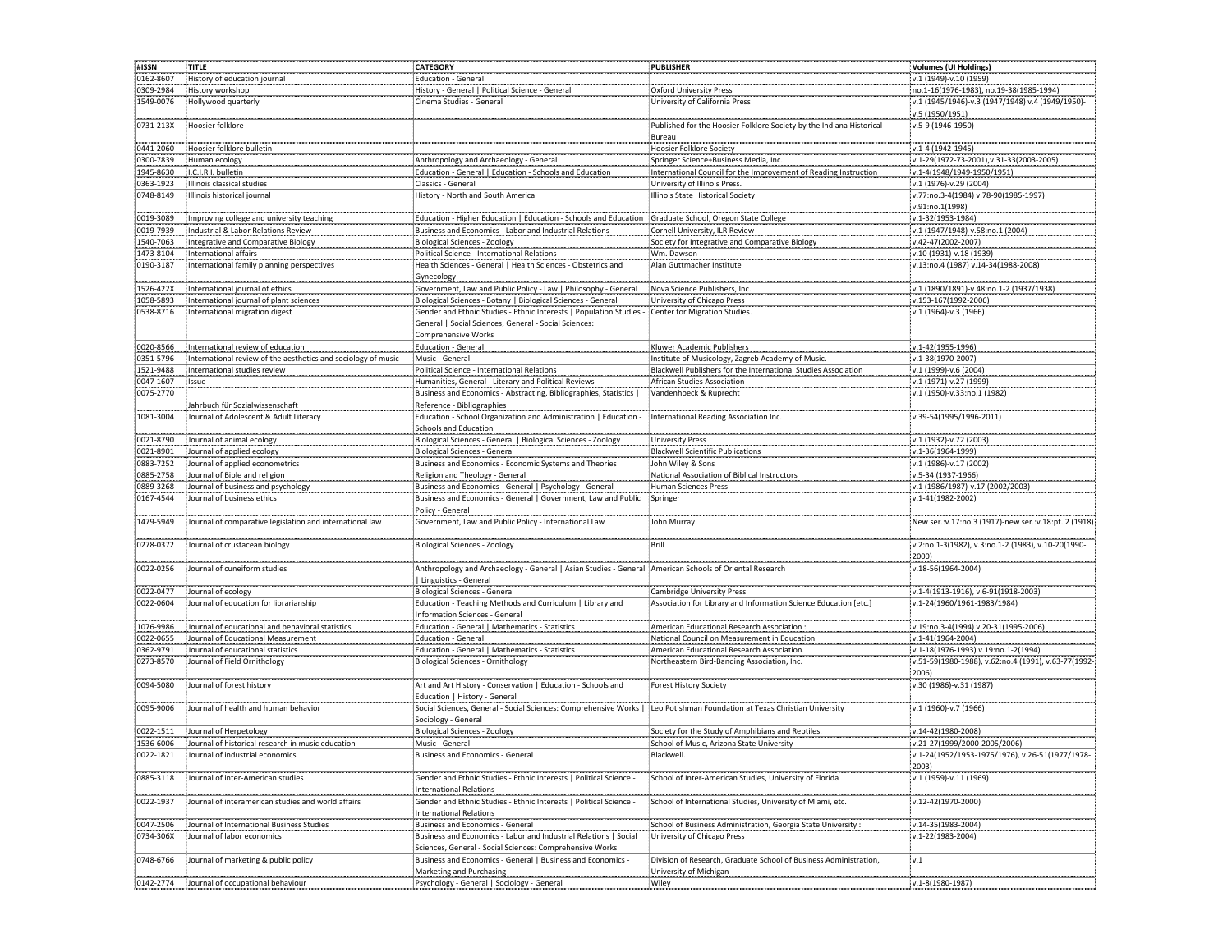| #ISSN     | TITLE                                                                     | <b>CATEGORY</b>                                                                                                          | <b>PUBLISHER</b>                                                     | Volumes (UI Holdings)                                   |
|-----------|---------------------------------------------------------------------------|--------------------------------------------------------------------------------------------------------------------------|----------------------------------------------------------------------|---------------------------------------------------------|
| 0162-8607 | History of education journal                                              | <b>Education - General</b>                                                                                               |                                                                      | v.1 (1949)-v.10 (1959)                                  |
| 0309-2984 | History workshop                                                          | History - General   Political Science - General                                                                          | <b>Oxford University Press</b>                                       | no.1-16(1976-1983), no.19-38(1985-1994)                 |
| 1549-0076 | Hollywood quarterly                                                       | Cinema Studies - General                                                                                                 | University of California Press                                       | v.1 (1945/1946)-v.3 (1947/1948) v.4 (1949/1950)-        |
|           |                                                                           |                                                                                                                          |                                                                      | v.5 (1950/1951)                                         |
| 0731-213X | Hoosier folklore                                                          |                                                                                                                          | Published for the Hoosier Folklore Society by the Indiana Historical | v.5-9 (1946-1950)                                       |
|           |                                                                           |                                                                                                                          |                                                                      |                                                         |
|           |                                                                           |                                                                                                                          | Bureau                                                               |                                                         |
| 0441-2060 | Hoosier folklore bulletin                                                 |                                                                                                                          | Hoosier Folklore Society                                             | v.1-4 (1942-1945)                                       |
| 0300-7839 | Human ecology                                                             | Anthropology and Archaeology - General                                                                                   | Springer Science+Business Media, Inc.                                | v.1-29(1972-73-2001), v.31-33(2003-2005)                |
| 1945-8630 | I.C.I.R.I. bulletin                                                       | Education - General   Education - Schools and Education                                                                  | International Council for the Improvement of Reading Instruction     | v.1-4(1948/1949-1950/1951)                              |
| 0363-1923 | Illinois classical studies                                                | Classics - General                                                                                                       | University of Illinois Press.                                        | v.1 (1976)-v.29 (2004)                                  |
| 0748-8149 | Illinois historical journal                                               | History - North and South America                                                                                        | Illinois State Historical Society                                    | v.77:no.3-4(1984) v.78-90(1985-1997)                    |
|           |                                                                           |                                                                                                                          |                                                                      | v.91:no.1(1998)                                         |
| 0019-3089 | Improving college and university teaching                                 | Education - Higher Education   Education - Schools and Education                                                         | Graduate School, Oregon State College                                | v.1-32(1953-1984)                                       |
| 0019-7939 | Industrial & Labor Relations Review                                       | Business and Economics - Labor and Industrial Relations                                                                  | Cornell University, ILR Review                                       | v.1 (1947/1948)-v.58:no.1 (2004)                        |
| 1540-7063 | <b>Integrative and Comparative Biology</b>                                | <b>Biological Sciences - Zoology</b>                                                                                     | Society for Integrative and Comparative Biology                      | v.42-47(2002-2007)                                      |
| 1473-8104 | International affairs                                                     | Political Science - International Relations                                                                              | Wm. Dawson                                                           | v.10 (1931)-v.18 (1939)                                 |
| 0190-3187 | International family planning perspectives                                | Health Sciences - General   Health Sciences - Obstetrics and                                                             | Alan Guttmacher Institute                                            | v.13:no.4 (1987) v.14-34(1988-2008)                     |
|           |                                                                           | Gynecology                                                                                                               |                                                                      |                                                         |
|           |                                                                           |                                                                                                                          |                                                                      |                                                         |
| 1526-422X | International journal of ethics                                           | Government, Law and Public Policy - Law   Philosophy - General                                                           | Nova Science Publishers, Inc.                                        | v.1 (1890/1891)-v.48:no.1-2 (1937/1938)                 |
| 1058-5893 | International journal of plant sciences                                   | Biological Sciences - Botany   Biological Sciences - General                                                             | University of Chicago Press                                          | v.153-167(1992-2006)                                    |
| 0538-8716 | International migration digest                                            | Gender and Ethnic Studies - Ethnic Interests   Population Studies - Center for Migration Studies.                        |                                                                      | v.1 (1964)-v.3 (1966)                                   |
|           |                                                                           | General   Social Sciences, General - Social Sciences:                                                                    |                                                                      |                                                         |
|           |                                                                           | <b>Comprehensive Works</b>                                                                                               |                                                                      |                                                         |
| 0020-8566 | International review of education                                         | <b>Education - General</b>                                                                                               | Kluwer Academic Publishers                                           | v.1-42(1955-1996)                                       |
| 0351-5796 | International review of the aesthetics and sociology of music             | Music - General                                                                                                          | Institute of Musicology, Zagreb Academy of Music.                    | v.1-38(1970-2007)                                       |
| 1521-9488 | International studies review                                              | Political Science - International Relations                                                                              | Blackwell Publishers for the International Studies Association       | v.1 (1999)-v.6 (2004)                                   |
| 0047-1607 | Issue                                                                     | Humanities, General - Literary and Political Reviews                                                                     | African Studies Association                                          | v.1 (1971)-v.27 (1999)                                  |
| 0075-2770 |                                                                           | Business and Economics - Abstracting, Bibliographies, Statistics                                                         | Vandenhoeck & Ruprecht                                               | v.1 (1950)-v.33:no.1 (1982)                             |
|           |                                                                           | Reference - Bibliographies                                                                                               |                                                                      |                                                         |
|           | Jahrbuch für Sozialwissenschaft<br>Journal of Adolescent & Adult Literacy |                                                                                                                          |                                                                      |                                                         |
| 1081-3004 |                                                                           | Education - School Organization and Administration   Education -                                                         | International Reading Association Inc.                               | v.39-54(1995/1996-2011)                                 |
|           |                                                                           | <b>Schools and Education</b>                                                                                             | ---------------                                                      |                                                         |
| 0021-8790 | Journal of animal ecology                                                 | Biological Sciences - General   Biological Sciences - Zoology                                                            | <b>University Press</b>                                              | v.1 (1932)-v.72 (2003)                                  |
| 0021-8901 | Journal of applied ecology                                                | Biological Sciences - General                                                                                            | <b>Blackwell Scientific Publications</b>                             | v.1-36(1964-1999)                                       |
| 0883-7252 | Journal of applied econometrics                                           | Business and Economics - Economic Systems and Theories                                                                   | John Wiley & Sons                                                    | v.1 (1986)-v.17 (2002)                                  |
| 0885-2758 | Journal of Bible and religion                                             | Religion and Theology - General                                                                                          | National Association of Biblical Instructors                         | v.5-34 (1937-1966)                                      |
| 0889-3268 | Journal of business and psychology                                        | Business and Economics - General   Psychology - General                                                                  | Human Sciences Press                                                 | v.1 (1986/1987)-v.17 (2002/2003)                        |
| 0167-4544 | Journal of business ethics                                                | Business and Economics - General   Government, Law and Public                                                            | Springer                                                             | v.1-41(1982-2002)                                       |
|           |                                                                           | Policy - General                                                                                                         |                                                                      |                                                         |
| 1479-5949 | Journal of comparative legislation and international law                  | Government, Law and Public Policy - International Law                                                                    | John Murray                                                          | New ser.: v.17:no.3 (1917)-new ser.: v.18: pt. 2 (1918) |
|           |                                                                           |                                                                                                                          |                                                                      |                                                         |
| 0278-0372 | Journal of crustacean biology                                             | <b>Biological Sciences - Zoology</b>                                                                                     | Brill                                                                | v.2:no.1-3(1982), v.3:no.1-2 (1983), v.10-20(1990-      |
|           |                                                                           |                                                                                                                          |                                                                      | 2000)                                                   |
|           |                                                                           |                                                                                                                          |                                                                      |                                                         |
| 0022-0256 | Journal of cuneiform studies                                              | Anthropology and Archaeology - General   Asian Studies - General American Schools of Oriental Research                   |                                                                      | v.18-56(1964-2004)                                      |
|           |                                                                           | Linguistics - General                                                                                                    |                                                                      |                                                         |
| 0022-0477 | Journal of ecology                                                        | Biological Sciences - General                                                                                            | <b>Cambridge University Press</b>                                    | v.1-4(1913-1916), v.6-91(1918-2003)                     |
| 0022-0604 | Journal of education for librarianship                                    | Education - Teaching Methods and Curriculum   Library and                                                                | Association for Library and Information Science Education [etc.]     | v.1-24(1960/1961-1983/1984)                             |
|           |                                                                           | Information Sciences - General                                                                                           |                                                                      |                                                         |
| 1076-9986 | Journal of educational and behavioral statistics                          | Education - General   Mathematics - Statistics                                                                           | American Educational Research Association                            | v.19:no.3-4(1994) v.20-31(1995-2006)                    |
| 0022-0655 | Journal of Educational Measurement                                        | <b>Education - General</b>                                                                                               | National Council on Measurement in Education                         | v.1-41(1964-2004)                                       |
| 0362-9791 | Journal of educational statistics                                         | Education - General   Mathematics - Statistics                                                                           | American Educational Research Association                            | v.1-18(1976-1993) v.19:no.1-2(1994)                     |
| 0273-8570 | Journal of Field Ornithology                                              | <b>Biological Sciences - Ornithology</b>                                                                                 | Northeastern Bird-Banding Association, Inc.                          | v.51-59(1980-1988), v.62:no.4 (1991), v.63-77(1992-     |
|           |                                                                           |                                                                                                                          |                                                                      | 2006)                                                   |
| 0094-5080 | Journal of forest history                                                 | Art and Art History - Conservation   Education - Schools and                                                             | Forest History Society                                               | v.30 (1986)-v.31 (1987)                                 |
|           |                                                                           |                                                                                                                          |                                                                      |                                                         |
|           | Journal of health and human behavior                                      | Education   History - General                                                                                            |                                                                      |                                                         |
| 0095-9006 |                                                                           | Social Sciences, General - Social Sciences: Comprehensive Works   Leo Potishman Foundation at Texas Christian University |                                                                      | v.1 (1960)-v.7 (1966)                                   |
|           |                                                                           | Sociology - General                                                                                                      |                                                                      |                                                         |
| 0022-1511 | Journal of Herpetology                                                    | <b>Biological Sciences - Zoology</b>                                                                                     | Society for the Study of Amphibians and Reptiles.                    | v.14-42(1980-2008)                                      |
| 1536-6006 | Journal of historical research in music education                         | Music - General                                                                                                          | School of Music, Arizona State University                            | v.21-27(1999/2000-2005/2006)                            |
| 0022-1821 | Journal of industrial economics                                           | Business and Economics - General                                                                                         | Blackwell.                                                           | v.1-24(1952/1953-1975/1976), v.26-51(1977/1978-         |
|           |                                                                           |                                                                                                                          |                                                                      | 2003)                                                   |
| 0885-3118 | Journal of inter-American studies                                         | Gender and Ethnic Studies - Ethnic Interests   Political Science -                                                       | School of Inter-American Studies, University of Florida              | v.1 (1959)-v.11 (1969)                                  |
|           |                                                                           | <b>International Relations</b>                                                                                           |                                                                      |                                                         |
| 0022-1937 | Journal of interamerican studies and world affairs                        | Gender and Ethnic Studies - Ethnic Interests   Political Science                                                         | School of International Studies, University of Miami, etc.           | v.12-42(1970-2000)                                      |
|           |                                                                           | <b>International Relations</b>                                                                                           |                                                                      |                                                         |
|           |                                                                           | <b>Business and Economics - General</b>                                                                                  |                                                                      |                                                         |
| 0047-2506 | Journal of International Business Studies                                 |                                                                                                                          | School of Business Administration, Georgia State University :        | v.14-35(1983-2004)                                      |
| 0734-306X | Journal of labor economics                                                | Business and Economics - Labor and Industrial Relations   Social                                                         | University of Chicago Press                                          | v.1-22(1983-2004)                                       |
|           |                                                                           | Sciences, General - Social Sciences: Comprehensive Works                                                                 |                                                                      |                                                         |
| 0748-6766 | Journal of marketing & public policy                                      | Business and Economics - General   Business and Economics -                                                              | Division of Research, Graduate School of Business Administration,    | .1                                                      |
|           |                                                                           | Marketing and Purchasing                                                                                                 | University of Michigan                                               |                                                         |
| 0142-2774 | Journal of occupational behaviour                                         | Psychology - General   Sociology - General                                                                               | Wiley                                                                | v.1-8(1980-1987                                         |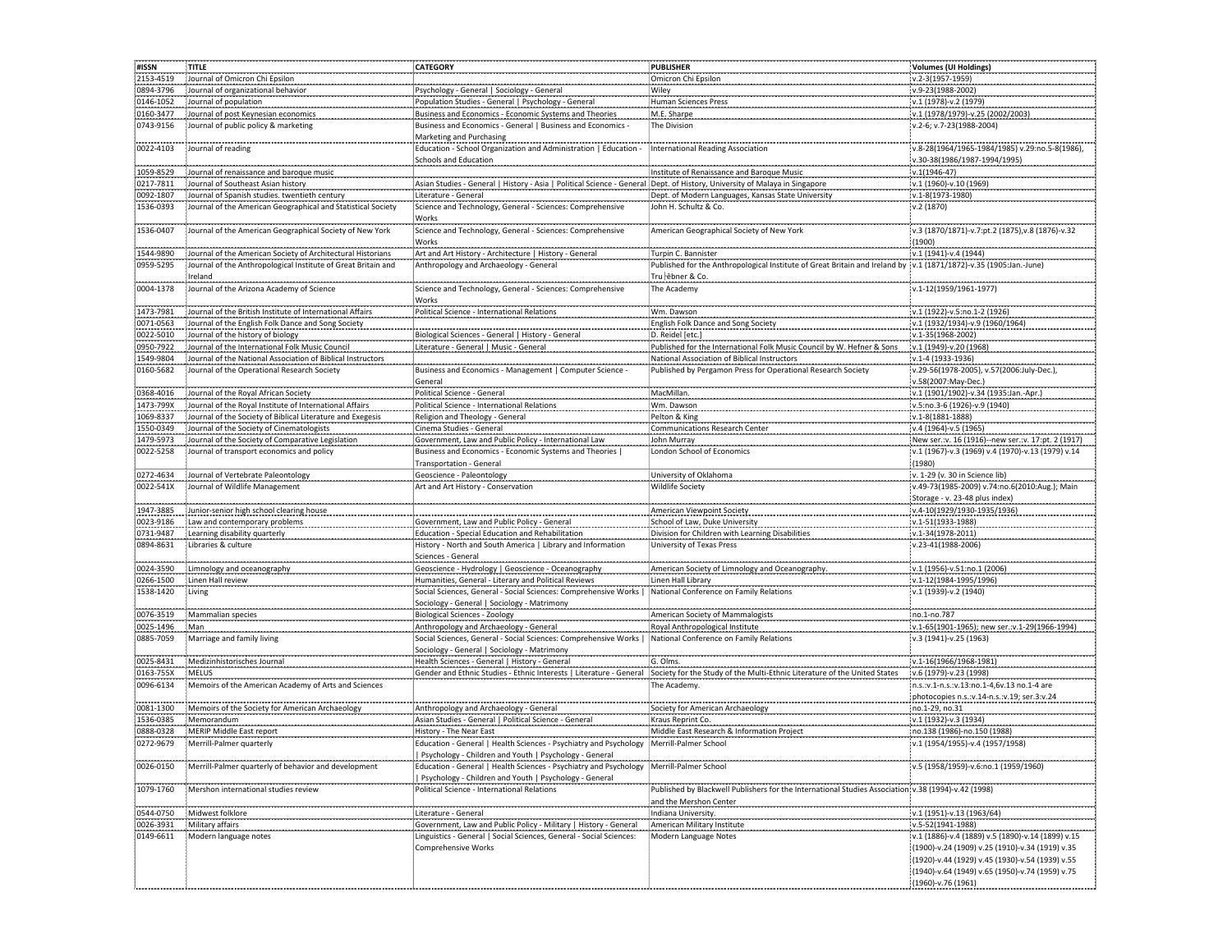| #ISSN     | TITLE                                                         | <b>CATEGORY</b>                                                                                                                                        | PUBLISHER                                                                                                                                       | Volumes (UI Holdings)                                                                                                                                 |
|-----------|---------------------------------------------------------------|--------------------------------------------------------------------------------------------------------------------------------------------------------|-------------------------------------------------------------------------------------------------------------------------------------------------|-------------------------------------------------------------------------------------------------------------------------------------------------------|
| 2153-4519 | Journal of Omicron Chi Epsilon                                |                                                                                                                                                        | Omicron Chi Epsilon                                                                                                                             | v.2-3(1957-1959)                                                                                                                                      |
| 0894-3796 | Journal of organizational behavior                            | Psychology - General   Sociology - General                                                                                                             | Wiley                                                                                                                                           | v.9-23(1988-2002)                                                                                                                                     |
| 0146-1052 | Journal of population                                         | Population Studies - General   Psychology - General                                                                                                    | Human Sciences Press                                                                                                                            | v.1 (1978)-v.2 (1979)                                                                                                                                 |
| 0160-3477 | Journal of post Keynesian economics                           | Business and Economics - Economic Systems and Theories                                                                                                 | M.E. Sharpe                                                                                                                                     | v.1 (1978/1979)-v.25 (2002/2003)                                                                                                                      |
| 0743-9156 | Journal of public policy & marketing                          | Business and Economics - General   Business and Economics -<br>Marketing and Purchasing                                                                | The Division                                                                                                                                    | v.2-6; v.7-23(1988-2004)                                                                                                                              |
| 0022-4103 | Journal of reading                                            | Education - School Organization and Administration   Education -<br><b>Schools and Education</b>                                                       | International Reading Association                                                                                                               | v.8-28(1964/1965-1984/1985) v.29:no.5-8(1986),<br>v.30-38(1986/1987-1994/1995)                                                                        |
| 1059-8529 | Journal of renaissance and baroque music                      |                                                                                                                                                        | Institute of Renaissance and Baroque Music                                                                                                      | $v.1(1946-47)$                                                                                                                                        |
| 0217-7811 | Journal of Southeast Asian history                            | Asian Studies - General   History - Asia   Political Science - General : Dept. of History, University of Malaya in Singapore                           |                                                                                                                                                 | v.1 (1960)-v.10 (1969)                                                                                                                                |
| 0092-1807 | Journal of Spanish studies. twentieth century                 | Literature - General                                                                                                                                   | Dept. of Modern Languages, Kansas State University                                                                                              | v.1-8(1973-1980)                                                                                                                                      |
| 1536-0393 | Journal of the American Geographical and Statistical Society  | Science and Technology, General - Sciences: Comprehensive<br>Works                                                                                     | John H. Schultz & Co.                                                                                                                           | v.2 (1870)                                                                                                                                            |
| 1536-0407 | Journal of the American Geographical Society of New York      | Science and Technology, General - Sciences: Comprehensive<br>Works                                                                                     | American Geographical Society of New York                                                                                                       | v.3 (1870/1871)-v.7:pt.2 (1875),v.8 (1876)-v.32<br>(1900)                                                                                             |
| 1544-9890 | Journal of the American Society of Architectural Historians   | Art and Art History - Architecture   History - General                                                                                                 | Turpin C. Bannister                                                                                                                             | v.1 (1941)-v.4 (1944)                                                                                                                                 |
| 0959-5295 | Journal of the Anthropological Institute of Great Britain and | Anthropology and Archaeology - General                                                                                                                 | Published for the Anthropological Institute of Great Britain and Ireland by                                                                     | v.1 (1871/1872)-v.35 (1905:Jan.-June)                                                                                                                 |
|           | Ireland                                                       |                                                                                                                                                        | Tru-êbner & Co.                                                                                                                                 |                                                                                                                                                       |
| 0004-1378 | Journal of the Arizona Academy of Science                     | Science and Technology, General - Sciences: Comprehensive<br>Works                                                                                     | The Academy                                                                                                                                     | v.1-12(1959/1961-1977)                                                                                                                                |
| 1473-7981 | Journal of the British Institute of International Affairs     | Political Science - International Relations                                                                                                            | Wm. Dawson                                                                                                                                      | v.1 (1922)-v.5:no.1-2 (1926)                                                                                                                          |
| 0071-0563 | Journal of the English Folk Dance and Song Society            |                                                                                                                                                        | English Folk Dance and Song Society                                                                                                             | v.1 (1932/1934)-v.9 (1960/1964)                                                                                                                       |
| 0022-5010 | Journal of the history of biology                             | Biological Sciences - General   History - General                                                                                                      | D. Reidel [etc.]                                                                                                                                | v.1-35(1968-2002)                                                                                                                                     |
| 0950-7922 | Journal of the International Folk Music Council               | Literature - General   Music - General                                                                                                                 | Published for the International Folk Music Council by W. Hefner & Sons                                                                          | v.1 (1949)-v.20 (1968)                                                                                                                                |
| 1549-9804 | Journal of the National Association of Biblical Instructors   |                                                                                                                                                        | National Association of Biblical Instructors                                                                                                    | v.1-4 (1933-1936)                                                                                                                                     |
| 0160-5682 | Journal of the Operational Research Society                   | Business and Economics - Management   Computer Science -<br>General                                                                                    | Published by Pergamon Press for Operational Research Society                                                                                    | v.29-56(1978-2005), v.57(2006:July-Dec.),<br>v.58(2007:May-Dec.)                                                                                      |
| 0368-4016 | Journal of the Royal African Society                          | Political Science - General                                                                                                                            | MacMillan.                                                                                                                                      | v.1 (1901/1902)-v.34 (1935:Jan.-Apr.)                                                                                                                 |
| 1473-799X | Journal of the Royal Institute of International Affairs       | :<br>Political Science - International Relations                                                                                                       | Wm. Dawson                                                                                                                                      | v.5:no.3-6 (1926)-v.9 (1940)                                                                                                                          |
| 1069-8337 | Journal of the Society of Biblical Literature and Exegesis    | Religion and Theology - General                                                                                                                        | Pelton & King                                                                                                                                   | v.1-8(1881-1888)                                                                                                                                      |
| 1550-0349 | Journal of the Society of Cinematologists                     | Cinema Studies - General                                                                                                                               | <b>Communications Research Center</b>                                                                                                           | v.4 (1964)-v.5 (1965)                                                                                                                                 |
| 1479-5973 | Journal of the Society of Comparative Legislation             | Government, Law and Public Policy - International Law                                                                                                  | John Murrav                                                                                                                                     | New ser.:v. 16 (1916)--new ser.:v. 17:pt. 2 (1917)                                                                                                    |
| 0022-5258 | Journal of transport economics and policy                     | Business and Economics - Economic Systems and Theories<br>Transportation - General                                                                     | London School of Economics                                                                                                                      | v.1 (1967)-v.3 (1969) v.4 (1970)-v.13 (1979) v.14<br>(1980)                                                                                           |
| 0272-4634 | Journal of Vertebrate Paleontology                            | Geoscience - Paleontology                                                                                                                              | University of Oklahoma                                                                                                                          | v. 1-29 (v. 30 in Science lib)                                                                                                                        |
| 0022-541X | Journal of Wildlife Management                                | Art and Art History - Conservation                                                                                                                     | <b>Wildlife Society</b>                                                                                                                         | v.49-73(1985-2009) v.74:no.6(2010:Aug.); Main<br>Storage - v. 23-48 plus index)                                                                       |
| 1947-3885 | Junior-senior high school clearing house                      |                                                                                                                                                        | American Viewpoint Society                                                                                                                      | v.4-10(1929/1930-1935/1936)                                                                                                                           |
| 0023-9186 | Law and contemporary problems                                 | Government, Law and Public Policy - General                                                                                                            | School of Law, Duke University                                                                                                                  | v.1-51(1933-1988)                                                                                                                                     |
| 0731-9487 | Learning disability quarterly                                 | Education - Special Education and Rehabilitation                                                                                                       | Division for Children with Learning Disabilities                                                                                                | v.1-34(1978-2011)                                                                                                                                     |
| 0894-8631 | Libraries & culture                                           | History - North and South America   Library and Information<br>Sciences - General                                                                      | University of Texas Press                                                                                                                       | v.23-41(1988-2006)                                                                                                                                    |
| 0024-3590 | Limnology and oceanography                                    | Geoscience - Hydrology   Geoscience - Oceanography                                                                                                     | American Society of Limnology and Oceanography.                                                                                                 | v.1 (1956)-v.51:no.1 (2006)                                                                                                                           |
| 0266-1500 | Linen Hall review                                             | Humanities, General - Literary and Political Reviews                                                                                                   | Linen Hall Library                                                                                                                              | v.1-12(1984-1995/1996)                                                                                                                                |
| 1538-1420 | Living                                                        | Social Sciences, General - Social Sciences: Comprehensive Works  <br>Sociology - General   Sociology - Matrimony                                       | National Conference on Family Relations                                                                                                         | v.1 (1939)-v.2 (1940)                                                                                                                                 |
| 0076-3519 | Mammalian species                                             | <b>Biological Sciences - Zoology</b>                                                                                                                   | American Society of Mammalogists                                                                                                                | no.1-no.787                                                                                                                                           |
| 0025-1496 | Man                                                           | Anthropology and Archaeology - General                                                                                                                 | Royal Anthropological Institute                                                                                                                 | v.1-65(1901-1965); new ser.:v.1-29(1966-1994)                                                                                                         |
| 0885-7059 | Marriage and family living                                    | Social Sciences, General - Social Sciences: Comprehensive Works  <br>Sociology - General   Sociology - Matrimony                                       | National Conference on Family Relations                                                                                                         | v.3 (1941)-v.25 (1963)                                                                                                                                |
| 0025-8431 | Medizinhistorisches Journal                                   | Health Sciences - General   History - General                                                                                                          | G. Olms.                                                                                                                                        | v.1-16(1966/1968-1981)                                                                                                                                |
| 0163-755X | <b>MELUS</b>                                                  |                                                                                                                                                        | Gender and Ethnic Studies - Ethnic Interests   Literature - General : Society for the Study of the Multi-Ethnic Literature of the United States | v.6 (1979)-v.23 (1998)                                                                                                                                |
| 0096-6134 | Memoirs of the American Academy of Arts and Sciences          |                                                                                                                                                        | The Academy.                                                                                                                                    | n.s.:v.1-n.s.:v.13:no.1-4,6v.13 no.1-4 are<br>photocopies n.s.:v.14-n.s.:v.19; ser.3:v.24                                                             |
| 0081-1300 | Memoirs of the Society for American Archaeology               | Anthropology and Archaeology - General                                                                                                                 | Society for American Archaeology                                                                                                                | no.1-29, no.31                                                                                                                                        |
| 1536-0385 | Memorandum                                                    | Asian Studies - General   Political Science - General                                                                                                  | Kraus Reprint Co.                                                                                                                               | v.1 (1932)-v.3 (1934)                                                                                                                                 |
| 0888-0328 | <b>MERIP Middle East report</b>                               | History - The Near East                                                                                                                                | Middle East Research & Information Project                                                                                                      | no.138 (1986)-no.150 (1988)                                                                                                                           |
| 0272-9679 | Merrill-Palmer quarterly                                      | Education - General   Health Sciences - Psychiatry and Psychology Merrill-Palmer School<br>  Psychology - Children and Youth   Psychology - General    |                                                                                                                                                 | v.1 (1954/1955)-v.4 (1957/1958)                                                                                                                       |
| 0026-0150 | Merrill-Palmer quarterly of behavior and development          | .<br>Education - General   Health Sciences - Psychiatry and Psychology Merrill-Palmer School<br>Psychology - Children and Youth   Psychology - General |                                                                                                                                                 | v.5 (1958/1959)-v.6:no.1 (1959/1960)                                                                                                                  |
| 1079-1760 | Mershon international studies review                          | Political Science - International Relations                                                                                                            | Published by Blackwell Publishers for the International Studies Association v.38 (1994)-v.42 (1998)<br>and the Mershon Center                   |                                                                                                                                                       |
| 0544-0750 | Midwest folklore                                              | -----------------------<br>Literature - General                                                                                                        | Indiana University.                                                                                                                             | v.1 (1951)-v.13 (1963/64)                                                                                                                             |
| 0026-3931 | Military affairs                                              | Government, Law and Public Policy - Military   History - General                                                                                       | American Military Institute                                                                                                                     | v.5-52(1941-1988)                                                                                                                                     |
| 0149-6611 | Modern language notes                                         | Linguistics - General   Social Sciences, General - Social Sciences:                                                                                    | Modern Language Notes                                                                                                                           | v.1 (1886)-v.4 (1889) v.5 (1890)-v.14 (1899) v.15                                                                                                     |
|           |                                                               | <b>Comprehensive Works</b>                                                                                                                             |                                                                                                                                                 | (1900)-v.24 (1909) v.25 (1910)-v.34 (1919) v.35<br>(1920)-v.44 (1929) v.45 (1930)-v.54 (1939) v.55<br>(1940)-v.64 (1949) v.65 (1950)-v.74 (1959) v.75 |
|           |                                                               |                                                                                                                                                        |                                                                                                                                                 | (1960)-v.76 (1961)                                                                                                                                    |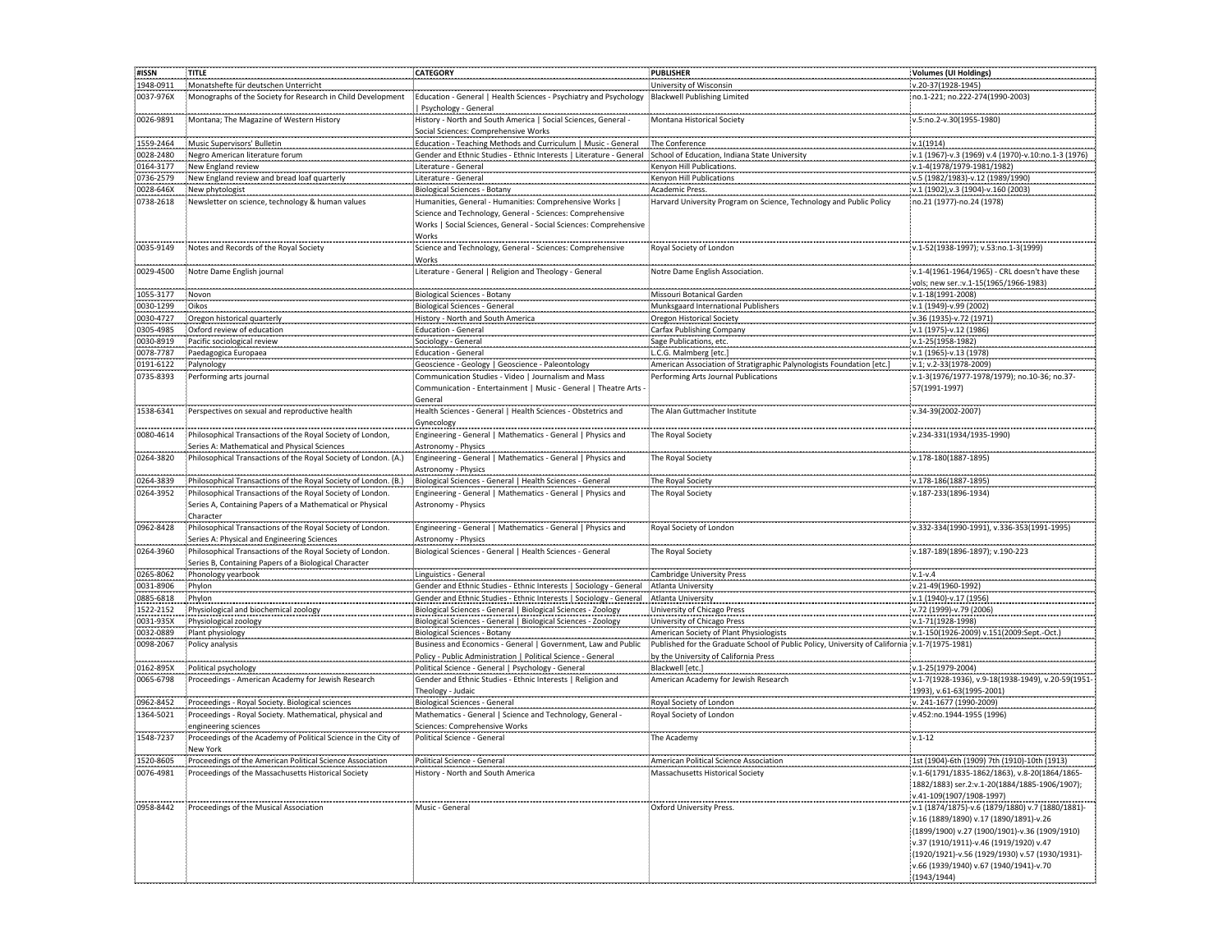| #ISSN     | <b>TITLE</b>                                                                                                                                                                                                                     | CATEGORY                                                                                               | PUBLISHER                                                                                     | Volumes (UI Holdings)                             |
|-----------|----------------------------------------------------------------------------------------------------------------------------------------------------------------------------------------------------------------------------------|--------------------------------------------------------------------------------------------------------|-----------------------------------------------------------------------------------------------|---------------------------------------------------|
|           |                                                                                                                                                                                                                                  |                                                                                                        |                                                                                               |                                                   |
| 1948-0911 | Monatshefte für deutschen Unterricht                                                                                                                                                                                             |                                                                                                        | University of Wisconsin                                                                       | v.20-37(1928-1945)                                |
| 0037-976X | Monographs of the Society for Research in Child Development                                                                                                                                                                      | Education - General   Health Sciences - Psychiatry and Psychology<br>Psychology - General              | <b>Blackwell Publishing Limited</b>                                                           | no.1-221; no.222-274(1990-2003                    |
|           |                                                                                                                                                                                                                                  |                                                                                                        |                                                                                               |                                                   |
| 0026-9891 | Montana; The Magazine of Western History                                                                                                                                                                                         | History - North and South America   Social Sciences, General -<br>Social Sciences: Comprehensive Works | Montana Historical Society                                                                    | v.5:no.2-v.30(1955-1980)                          |
| 1559-2464 | Music Supervisors' Bulletin                                                                                                                                                                                                      | Education - Teaching Methods and Curriculum   Music - General                                          | The Conference                                                                                | v.1(1914)                                         |
|           | Negro American literature forum                                                                                                                                                                                                  |                                                                                                        | School of Education, Indiana State University                                                 |                                                   |
| 0028-2480 |                                                                                                                                                                                                                                  | Gender and Ethnic Studies - Ethnic Interests   Literature - General                                    |                                                                                               | v.1 (1967)-v.3 (1969) v.4 (197                    |
| 0164-3177 | New England review                                                                                                                                                                                                               | Literature - General                                                                                   | Kenyon Hill Publications.                                                                     | v.1-4(1978/1979-1981/1982)                        |
| 0736-2579 | New England review and bread loaf quarterly                                                                                                                                                                                      | Literature - General                                                                                   | Kenyon Hill Publications                                                                      | v.5 (1982/1983)-v.12 (1989/1990                   |
| 0028-646X | New phytologist                                                                                                                                                                                                                  | <b>Biological Sciences - Botany</b>                                                                    | Academic Press                                                                                | v.1 (1902), v.3 (1904)-v.160 (2003)               |
| 0738-2618 | Newsletter on science, technology & human values                                                                                                                                                                                 | Humanities, General - Humanities: Comprehensive Works                                                  | Harvard University Program on Science, Technology and Public Policy                           | no.21 (1977)-no.24 (1978)                         |
|           |                                                                                                                                                                                                                                  |                                                                                                        |                                                                                               |                                                   |
|           |                                                                                                                                                                                                                                  | Science and Technology, General - Sciences: Comprehensive                                              |                                                                                               |                                                   |
|           |                                                                                                                                                                                                                                  | Works   Social Sciences, General - Social Sciences: Comprehensive                                      |                                                                                               |                                                   |
|           |                                                                                                                                                                                                                                  | Works                                                                                                  |                                                                                               |                                                   |
| 0035-9149 | Notes and Records of the Roval Society                                                                                                                                                                                           | Science and Technology, General - Sciences: Comprehensive                                              | Royal Society of London                                                                       | v.1-52(1938-1997); v.53:no.1-3(1999)              |
|           |                                                                                                                                                                                                                                  | Works                                                                                                  |                                                                                               |                                                   |
| 0029-4500 |                                                                                                                                                                                                                                  | Literature - General   Religion and Theology - General                                                 | Notre Dame English Association                                                                | v.1-4(1961-1964/1965) - CRL doesn't have these    |
|           | Notre Dame English journal                                                                                                                                                                                                       |                                                                                                        |                                                                                               |                                                   |
|           |                                                                                                                                                                                                                                  |                                                                                                        |                                                                                               | vols; new ser.:v.1-15(1965/1966-1983)             |
| 1055-3177 | Novon                                                                                                                                                                                                                            | <b>Biological Sciences - Botany</b>                                                                    | Missouri Botanical Garden                                                                     | v.1-18(1991-2008)                                 |
| 0030-1299 | Oikos                                                                                                                                                                                                                            | Biological Sciences - General                                                                          | Munksgaard International Publishers                                                           | v.1 (1949)-v.99 (2002)                            |
| 0030-4727 | Oregon historical quarterly                                                                                                                                                                                                      | History - North and South America                                                                      | Oregon Historical Society                                                                     | v.36 (1935)-v.72 (1971)                           |
|           |                                                                                                                                                                                                                                  |                                                                                                        |                                                                                               |                                                   |
| 0305-4985 | Oxford review of education                                                                                                                                                                                                       | Education - General                                                                                    | <b>Carfax Publishing Company</b>                                                              | v.1 (1975)-v.12 (1986)                            |
| 0030-8919 | Pacific sociological review                                                                                                                                                                                                      | Sociology - General                                                                                    | Sage Publications, etc.                                                                       | v.1-25(1958-1982)                                 |
| 0078-7787 | Paedagogica Europaea                                                                                                                                                                                                             | <b>Education - General</b>                                                                             | L.C.G. Malmberg [etc.]                                                                        | v.1 (1965)-v.13 (1978)                            |
| 0191-6122 | Palynology                                                                                                                                                                                                                       | Geoscience - Geology   Geoscience - Paleontology                                                       | American Association of Stratigraphic Palynologists Foundation [etc.]                         | v.1; v.2-33(1978-2009)                            |
| 0735-8393 | Performing arts journal                                                                                                                                                                                                          | Communication Studies - Video   Journalism and Mass                                                    | Performing Arts Journal Publications                                                          | v.1-3(1976/1977-1978/1979); no.10-36; no.37       |
|           |                                                                                                                                                                                                                                  |                                                                                                        |                                                                                               |                                                   |
|           |                                                                                                                                                                                                                                  | Communication - Entertainment   Music - General   Theatre Arts                                         |                                                                                               | 57(1991-1997)                                     |
|           |                                                                                                                                                                                                                                  | General                                                                                                |                                                                                               |                                                   |
| 1538-6341 | Perspectives on sexual and reproductive health                                                                                                                                                                                   | Health Sciences - General   Health Sciences - Obstetrics and                                           | The Alan Guttmacher Institute                                                                 | v.34-39(2002-2007)                                |
|           |                                                                                                                                                                                                                                  |                                                                                                        |                                                                                               |                                                   |
| 0080-4614 | Philosophical Transactions of the Royal Society of London,                                                                                                                                                                       | Engineering - General   Mathematics - General   Physics and                                            | The Roval Society                                                                             | v.234-331(1934/1935-1990)                         |
|           |                                                                                                                                                                                                                                  |                                                                                                        |                                                                                               |                                                   |
|           | Series A: Mathematical and Physical Sciences                                                                                                                                                                                     | Astronomy - Physics                                                                                    |                                                                                               |                                                   |
| 0264-3820 | Philosophical Transactions of the Royal Society of London. (A.)                                                                                                                                                                  | Engineering - General   Mathematics - General   Physics and                                            | The Royal Society                                                                             | v.178-180(1887-1895)                              |
|           |                                                                                                                                                                                                                                  | Astronomy - Physics                                                                                    |                                                                                               |                                                   |
| 0264-3839 | Philosophical Transactions of the Royal Society of London. (B.)                                                                                                                                                                  | Biological Sciences - General   Health Sciences - General                                              | The Royal Society                                                                             | v.178-186(1887-1895)                              |
| 0264-3952 | Philosophical Transactions of the Royal Society of London.                                                                                                                                                                       | Engineering - General   Mathematics - General   Physics and                                            | The Royal Society                                                                             | v.187-233(1896-1934)                              |
|           |                                                                                                                                                                                                                                  |                                                                                                        |                                                                                               |                                                   |
|           | Series A. Containing Papers of a Mathematical or Physical                                                                                                                                                                        | <b>Astronomy - Physics</b>                                                                             |                                                                                               |                                                   |
|           | Character<br>expansion of the contract of the contract of the contract of the contract of the contract of the contract of the contract of the contract of the contract of the contract of the contract of the contract of the co |                                                                                                        |                                                                                               |                                                   |
| 0962-8428 | Philosophical Transactions of the Royal Society of London.                                                                                                                                                                       | Engineering - General   Mathematics - General   Physics and                                            | Royal Society of London                                                                       | v.332-334(1990-1991), v.336-353(1991-1995)        |
|           | Series A: Physical and Engineering Sciences                                                                                                                                                                                      | Astronomy - Physics                                                                                    |                                                                                               |                                                   |
| 0264-3960 | Philosophical Transactions of the Royal Society of London.                                                                                                                                                                       | Biological Sciences - General   Health Sciences - General                                              | The Royal Society                                                                             | v.187-189(1896-1897); v.190-223                   |
|           |                                                                                                                                                                                                                                  |                                                                                                        |                                                                                               |                                                   |
|           | Series B, Containing Papers of a Biological Character                                                                                                                                                                            |                                                                                                        |                                                                                               |                                                   |
| 0265-8062 | Phonology yearbook                                                                                                                                                                                                               | Linguistics - General                                                                                  | Cambridge University Press                                                                    | $v.1-v.4$                                         |
| 0031-8906 | Phylon                                                                                                                                                                                                                           | Gender and Ethnic Studies - Ethnic Interests   Sociology - General                                     | Atlanta University                                                                            | v.21-49(1960-1992)                                |
| 0885-6818 | Phylon                                                                                                                                                                                                                           | Gender and Ethnic Studies - Ethnic Interests   Sociology - General                                     | Atlanta University                                                                            | v.1 (1940)-v.17 (1956)                            |
|           |                                                                                                                                                                                                                                  |                                                                                                        |                                                                                               |                                                   |
| 1522-2152 | Physiological and biochemical zoology                                                                                                                                                                                            | Biological Sciences - General   Biological Sciences - Zoology                                          | University of Chicago Press                                                                   | v.72 (1999)-v.79 (2006)                           |
| 0031-935X | Physiological zoology                                                                                                                                                                                                            | Biological Sciences - General   Biological Sciences - Zoology                                          | University of Chicago Press                                                                   | v.1-71(1928-1998)                                 |
| 0032-0889 | Plant physiology                                                                                                                                                                                                                 | <b>Biological Sciences - Botany</b>                                                                    | American Society of Plant Physiologists                                                       | v.1-150(1926-2009) v.151(2009:Sept.-Oct.)         |
| 0098-2067 | Policy analysis                                                                                                                                                                                                                  | Business and Economics - General   Government, Law and Public                                          | Published for the Graduate School of Public Policy, University of California v.1-7(1975-1981) |                                                   |
|           |                                                                                                                                                                                                                                  | Policy - Public Administration   Political Science - General                                           | by the University of California Press                                                         |                                                   |
|           |                                                                                                                                                                                                                                  |                                                                                                        | Blackwell [etc.]                                                                              |                                                   |
| 0162-895X | Political psychology                                                                                                                                                                                                             | Political Science - General   Psychology - General                                                     |                                                                                               | v.1-25(1979-2004)                                 |
| 0065-6798 | Proceedings - American Academy for Jewish Research                                                                                                                                                                               | Gender and Ethnic Studies - Ethnic Interests   Religion and                                            | American Academy for Jewish Research                                                          | v.1-7(1928-1936), v.9-18(1938-1949), v.20-59(1951 |
|           |                                                                                                                                                                                                                                  | Theology - Judaic                                                                                      |                                                                                               | 1993), v.61-63(1995-2001)                         |
| 0962-8452 | Proceedings - Royal Society. Biological sciences                                                                                                                                                                                 | Biological Sciences - General                                                                          | Royal Society of London                                                                       | v. 241-1677 (1990-2009)                           |
| 1364-5021 | Proceedings - Royal Society. Mathematical, physical and                                                                                                                                                                          | Mathematics - General   Science and Technology, General                                                | Royal Society of London                                                                       | v.452:no.1944-1955 (1996)                         |
|           |                                                                                                                                                                                                                                  |                                                                                                        |                                                                                               |                                                   |
|           | engineering sciences                                                                                                                                                                                                             | Sciences: Comprehensive Works                                                                          |                                                                                               |                                                   |
| 1548-7237 | Proceedings of the Academy of Political Science in the City of                                                                                                                                                                   | Political Science - General                                                                            | The Academy                                                                                   | $v.1 - 12$                                        |
|           | New York                                                                                                                                                                                                                         |                                                                                                        |                                                                                               |                                                   |
| 1520-8605 | Proceedings of the American Political Science Association                                                                                                                                                                        | Political Science - General                                                                            | American Political Science Association                                                        | 1st (1904)-6th (1909) 7th (1910)-10th (1913)      |
| 0076-4981 | Proceedings of the Massachusetts Historical Society                                                                                                                                                                              | History - North and South America                                                                      | Massachusetts Historical Society                                                              |                                                   |
|           |                                                                                                                                                                                                                                  |                                                                                                        |                                                                                               | v.1-6(1791/1835-1862/1863), v.8-20(1864/1865-     |
|           |                                                                                                                                                                                                                                  |                                                                                                        |                                                                                               | 1882/1883) ser.2:v.1-20(1884/1885-1906/1907);     |
|           |                                                                                                                                                                                                                                  |                                                                                                        |                                                                                               | v.41-109(1907/1908-1997)                          |
| 0958-8442 | Proceedings of the Musical Association                                                                                                                                                                                           | Music - General                                                                                        | Oxford University Press.                                                                      | v.1 (1874/1875)-v.6 (1879/1880) v.7 (1880/1881)-  |
|           |                                                                                                                                                                                                                                  |                                                                                                        |                                                                                               | v.16 (1889/1890) v.17 (1890/1891)-v.26            |
|           |                                                                                                                                                                                                                                  |                                                                                                        |                                                                                               |                                                   |
|           |                                                                                                                                                                                                                                  |                                                                                                        |                                                                                               |                                                   |
|           |                                                                                                                                                                                                                                  |                                                                                                        |                                                                                               | (1899/1900) v.27 (1900/1901)-v.36 (1909/1910)     |
|           |                                                                                                                                                                                                                                  |                                                                                                        |                                                                                               | v.37 (1910/1911)-v.46 (1919/1920) v.47            |
|           |                                                                                                                                                                                                                                  |                                                                                                        |                                                                                               | (1920/1921)-v.56 (1929/1930) v.57 (1930/1931)-    |
|           |                                                                                                                                                                                                                                  |                                                                                                        |                                                                                               | v.66 (1939/1940) v.67 (1940/1941)-v.70            |
|           |                                                                                                                                                                                                                                  |                                                                                                        |                                                                                               | (1943/1944)                                       |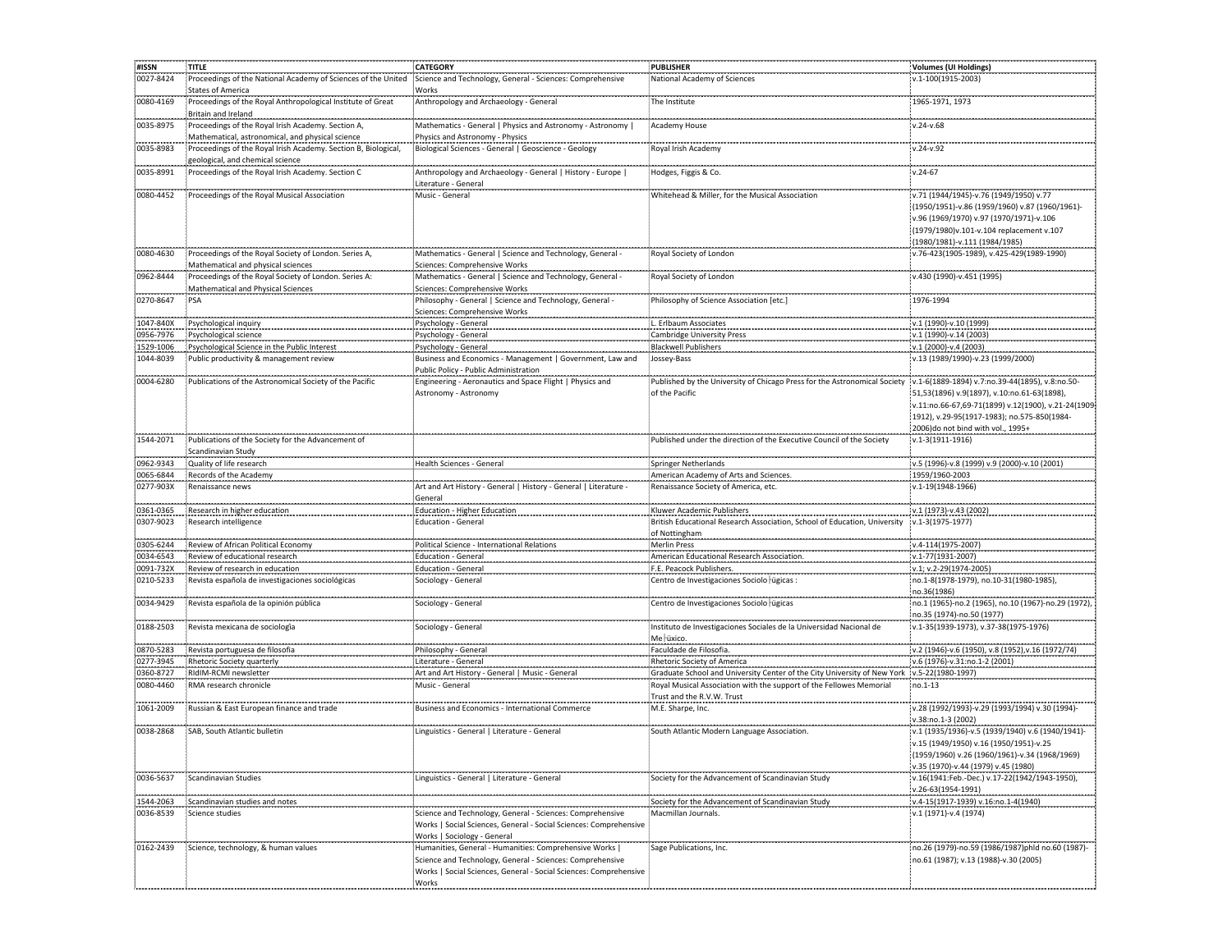| #ISSN                  | TITLE                                                                                                  | <b>CATEGORY</b>                                                                                                                                                                                    | <b>PUBLISHER</b>                                                                                                                                                  | Volumes (UI Holdings)                                                                                                                                                                                                                    |
|------------------------|--------------------------------------------------------------------------------------------------------|----------------------------------------------------------------------------------------------------------------------------------------------------------------------------------------------------|-------------------------------------------------------------------------------------------------------------------------------------------------------------------|------------------------------------------------------------------------------------------------------------------------------------------------------------------------------------------------------------------------------------------|
| 0027-8424              | Proceedings of the National Academy of Sciences of the United<br><b>States of America</b>              | Science and Technology, General - Sciences: Comprehensive<br>Works                                                                                                                                 | National Academy of Sciences                                                                                                                                      | v.1-100(1915-2003)                                                                                                                                                                                                                       |
| 0080-4169              | Proceedings of the Royal Anthropological Institute of Great<br>Britain and Ireland                     | Anthropology and Archaeology - General                                                                                                                                                             | The Institute                                                                                                                                                     | 1965-1971, 1973                                                                                                                                                                                                                          |
| 0035-8975              | Proceedings of the Royal Irish Academy. Section A,<br>Mathematical, astronomical, and physical science | Mathematics - General   Physics and Astronomy - Astronomy  <br>Physics and Astronomy - Physics                                                                                                     | Academy House                                                                                                                                                     | v.24-v.68                                                                                                                                                                                                                                |
| 0035-8983              | Proceedings of the Royal Irish Academy. Section B, Biological,<br>geological, and chemical science     | Biological Sciences - General   Geoscience - Geology                                                                                                                                               | Royal Irish Academy                                                                                                                                               | $v.24 - v.92$                                                                                                                                                                                                                            |
| 0035-8991              | Proceedings of the Royal Irish Academy. Section C                                                      | Anthropology and Archaeology - General   History - Europe  <br>Literature - General                                                                                                                | Hodges, Figgis & Co.                                                                                                                                              | $v.24 - 67$                                                                                                                                                                                                                              |
| 0080-4452              | Proceedings of the Royal Musical Association                                                           | Music - General                                                                                                                                                                                    | Whitehead & Miller, for the Musical Association                                                                                                                   | v.71 (1944/1945)-v.76 (1949/1950) v.77<br>(1950/1951)-v.86 (1959/1960) v.87 (1960/1961)-<br>v.96 (1969/1970) v.97 (1970/1971)-v.106<br>(1979/1980)v.101-v.104 replacement v.107<br>(1980/1981)-v.111 (1984/1985)                         |
| 0080-4630              | Proceedings of the Royal Society of London. Series A,<br>Mathematical and physical sciences            | Mathematics - General   Science and Technology, General -<br>Sciences: Comprehensive Works                                                                                                         | Royal Society of London                                                                                                                                           | v.76-423(1905-1989), v.425-429(1989-1990)                                                                                                                                                                                                |
| 0962-8444              | Proceedings of the Royal Society of London. Series A:<br><b>Mathematical and Physical Sciences</b>     | Mathematics - General   Science and Technology, General -<br>Sciences: Comprehensive Works                                                                                                         | Royal Society of London                                                                                                                                           | v.430 (1990)-v.451 (1995)                                                                                                                                                                                                                |
| 0270-8647              | PSA                                                                                                    | Philosophy - General   Science and Technology, General -<br>Sciences: Comprehensive Works                                                                                                          | Philosophy of Science Association [etc.]                                                                                                                          | 1976-1994                                                                                                                                                                                                                                |
| 1047-840X              | Psychological inquiry                                                                                  | Psychology - General                                                                                                                                                                               | L. Erlbaum Associates                                                                                                                                             | v.1 (1990)-v.10 (1999)                                                                                                                                                                                                                   |
| 0956-7976              | Psychological science                                                                                  | Psychology - General                                                                                                                                                                               | <b>Cambridge University Press</b>                                                                                                                                 | v.1 (1990)-v.14 (2003)                                                                                                                                                                                                                   |
| 1529-1006              | Psychological Science in the Public Interest                                                           | Psychology - General                                                                                                                                                                               | <b>Blackwell Publishers</b>                                                                                                                                       | v.1 (2000)-v.4 (2003)                                                                                                                                                                                                                    |
| 1044-8039              | Public productivity & management review                                                                | Business and Economics - Management   Government, Law and<br>Public Policy - Public Administration                                                                                                 | Jossey-Bass                                                                                                                                                       | v.13 (1989/1990)-v.23 (1999/2000)                                                                                                                                                                                                        |
| 0004-6280              | Publications of the Astronomical Society of the Pacific                                                | Engineering - Aeronautics and Space Flight   Physics and<br>Astronomy - Astronomy                                                                                                                  | Published by the University of Chicago Press for the Astronomical Society<br>of the Pacific                                                                       | v.1-6(1889-1894) v.7:no.39-44(1895), v.8:no.50-<br>51,53(1896) v.9(1897), v.10:no.61-63(1898),<br>v.11:no.66-67,69-71(1899) v.12(1900), v.21-24(1909<br>1912), v.29-95(1917-1983); no.575-850(1984-<br>2006)do not bind with vol., 1995+ |
| 1544-2071              | Publications of the Society for the Advancement of<br>Scandinavian Study                               |                                                                                                                                                                                                    | Published under the direction of the Executive Council of the Society                                                                                             | v.1-3(1911-1916)                                                                                                                                                                                                                         |
| 0962-9343              | Quality of life research                                                                               | Health Sciences - General                                                                                                                                                                          | <b>Springer Netherlands</b>                                                                                                                                       | v.5 (1996)-v.8 (1999) v.9 (2000)-v.10 (2001)                                                                                                                                                                                             |
| 0065-6844              | Records of the Academy                                                                                 |                                                                                                                                                                                                    | American Academy of Arts and Sciences                                                                                                                             | 1959/1960-2003                                                                                                                                                                                                                           |
| 0277-903X              | Renaissance news                                                                                       | Art and Art History - General   History - General   Literature -                                                                                                                                   | Renaissance Society of America, etc.                                                                                                                              | v.1-19(1948-1966)                                                                                                                                                                                                                        |
|                        |                                                                                                        | General                                                                                                                                                                                            |                                                                                                                                                                   |                                                                                                                                                                                                                                          |
| 0361-0365<br>0307-9023 | Research in higher education<br>Research intelligence                                                  | Education - Higher Education<br>Education - General                                                                                                                                                | Kluwer Academic Publishers<br>British Educational Research Association, School of Education, University                                                           | v.1 (1973)-v.43 (2002)<br>v.1-3(1975-1977)                                                                                                                                                                                               |
|                        |                                                                                                        |                                                                                                                                                                                                    | of Nottingham                                                                                                                                                     |                                                                                                                                                                                                                                          |
| 0305-6244              | Review of African Political Economy                                                                    | Political Science - International Relations                                                                                                                                                        | <b>Merlin Press</b>                                                                                                                                               | v.4-114(1975-2007)                                                                                                                                                                                                                       |
| 0034-6543              | Review of educational research                                                                         | <b>Education - General</b>                                                                                                                                                                         | American Educational Research Association                                                                                                                         | v.1-77(1931-2007)                                                                                                                                                                                                                        |
| 0091-732X              | Review of research in education                                                                        | Education - General                                                                                                                                                                                | F.E. Peacock Publishers.                                                                                                                                          | v.1; v.2-29(1974-2005)                                                                                                                                                                                                                   |
| 0210-5233              | Revista española de investigaciones sociológicas                                                       | Sociology - General                                                                                                                                                                                | Centro de Investigaciones Sociolo ugicas :                                                                                                                        | no.1-8(1978-1979), no.10-31(1980-1985),<br>no.36(1986)                                                                                                                                                                                   |
| 0034-9429              | Revista española de la opinión pública<br>---------------------------                                  | Sociology - General                                                                                                                                                                                | Centro de Investigaciones Sociolo agicas                                                                                                                          | no.1 (1965)-no.2 (1965), no.10 (1967)-no.29 (1972)<br>no.35 (1974)-no.50 (1977)                                                                                                                                                          |
| 0188-2503              | Revista mexicana de sociologia                                                                         | Sociology - General                                                                                                                                                                                | Instituto de Investigaciones Sociales de la Universidad Nacional de<br>Me uxico.                                                                                  | v.1-35(1939-1973), v.37-38(1975-1976)                                                                                                                                                                                                    |
| 0870-5283              | Revista portuguesa de filosofia                                                                        | Philosophy - General                                                                                                                                                                               | Faculdade de Filosofia                                                                                                                                            | v.2 (1946)-v.6 (1950), v.8 (1952), v.16 (1972/74)                                                                                                                                                                                        |
| 0277-3945              | Rhetoric Society quarterly                                                                             | Literature - General                                                                                                                                                                               | Rhetoric Society of America                                                                                                                                       | v.6 (1976)-v.31:no.1-2 (2001)                                                                                                                                                                                                            |
| 0360-8727<br>0080-4460 | RidIM-RCMI newsletter<br>RMA research chronicle                                                        | Art and Art History - General   Music - General<br>Music - General                                                                                                                                 | Graduate School and University Center of the City University of New York v.5-22(1980-1997)<br>Royal Musical Association with the support of the Fellowes Memorial | no.1-13                                                                                                                                                                                                                                  |
| 1061-2009              | Russian & East European finance and trade                                                              | Business and Economics - International Commerce                                                                                                                                                    | Trust and the R.V.W. Trust<br>M.E. Sharpe, Inc.                                                                                                                   | v.28 (1992/1993)-v.29 (1993/1994) v.30 (1994)-                                                                                                                                                                                           |
| 0038-2868              | SAB. South Atlantic bulletin                                                                           | Linguistics - General   Literature - General                                                                                                                                                       | South Atlantic Modern Language Association.                                                                                                                       | v.38:no.1-3 (2002)<br>v.1 (1935/1936)-v.5 (1939/1940) v.6 (1940/1941)-<br>v.15 (1949/1950) v.16 (1950/1951)-v.25<br>(1959/1960) v.26 (1960/1961)-v.34 (1968/1969)<br>v.35 (1970)-v.44 (1979) v.45 (1980)                                 |
| 0036-5637              | Scandinavian Studies                                                                                   | Linguistics - General   Literature - General                                                                                                                                                       | Society for the Advancement of Scandinavian Study                                                                                                                 | v.16(1941:Feb.-Dec.) v.17-22(1942/1943-1950),<br>v.26-63(1954-1991)                                                                                                                                                                      |
| 1544-2063              | Scandinavian studies and notes                                                                         |                                                                                                                                                                                                    | Society for the Advancement of Scandinavian Study                                                                                                                 | v.4-15(1917-1939) v.16:no.1-4(1940)                                                                                                                                                                                                      |
| 0036-8539              | Science studies                                                                                        | Science and Technology, General - Sciences: Comprehensive<br>Works   Social Sciences, General - Social Sciences: Comprehensive<br>Works   Sociology - General                                      | Macmillan Journals.                                                                                                                                               | v.1 (1971)-v.4 (1974)                                                                                                                                                                                                                    |
| 0162-2439              | Science, technology, & human values                                                                    | Humanities, General - Humanities: Comprehensive Works  <br>Science and Technology, General - Sciences: Comprehensive<br>Works   Social Sciences, General - Social Sciences: Comprehensive<br>Works | Sage Publications, Inc.                                                                                                                                           | no.26 (1979)-no.59 (1986/1987)phld no.60 (1987)-<br>no.61 (1987); v.13 (1988)-v.30 (2005)                                                                                                                                                |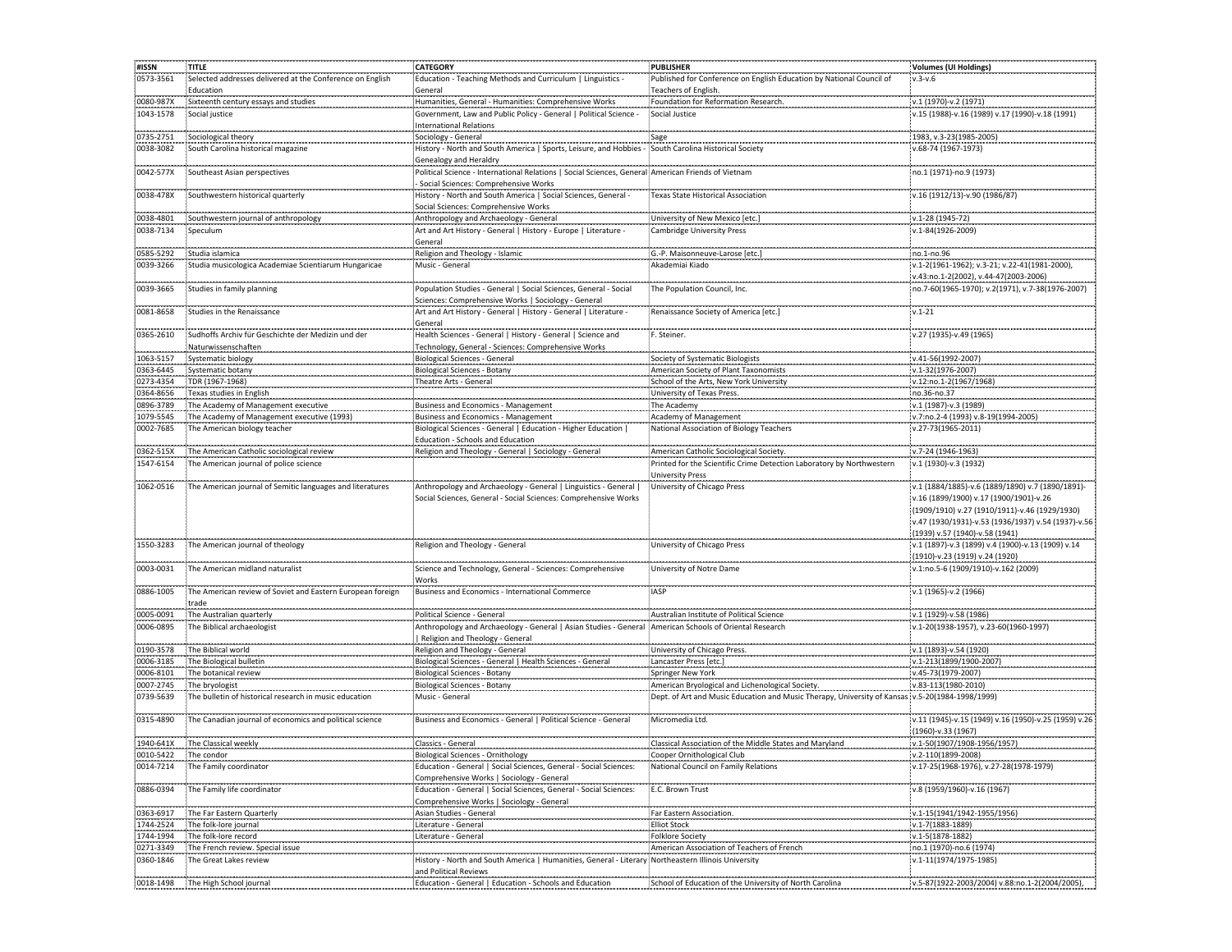| #ISSN     | <b>TITLE</b>                                               | <b>CATEGORY</b>                                                                                          | <b>PUBLISHER</b>                                                                                | Volumes (UI Holdings)                                                               |
|-----------|------------------------------------------------------------|----------------------------------------------------------------------------------------------------------|-------------------------------------------------------------------------------------------------|-------------------------------------------------------------------------------------|
| 0573-3561 | Selected addresses delivered at the Conference on English  | Education - Teaching Methods and Curriculum   Linguistics -                                              | Published for Conference on English Education by National Council of                            | $v.3-v.6$                                                                           |
|           | Education                                                  | General                                                                                                  | Teachers of English.                                                                            |                                                                                     |
| 0080-987X | Sixteenth century essays and studies                       | Humanities, General - Humanities: Comprehensive Works                                                    | Foundation for Reformation Research.                                                            | v.1 (1970)-v.2 (1971)                                                               |
| 1043-1578 | Social justice                                             | Government, Law and Public Policy - General   Political Science -                                        | Social Justice                                                                                  | v.15 (1988)-v.16 (1989) v.17 (1990)-v.18 (1991)                                     |
|           |                                                            | <b>International Relations</b>                                                                           |                                                                                                 |                                                                                     |
| 0735-2751 | Sociological theory                                        | Sociology - General                                                                                      |                                                                                                 | 1983, v.3-23(1985-2005)                                                             |
| 0038-3082 | South Carolina historical magazine                         | History - North and South America   Sports, Leisure, and Hobbies - South Carolina Historical Society     |                                                                                                 | v.68-74 (1967-1973)                                                                 |
|           |                                                            | Genealogy and Heraldry                                                                                   |                                                                                                 |                                                                                     |
| 0042-577X | Southeast Asian perspectives                               | Political Science - International Relations   Social Sciences, General American Friends of Vietnam       |                                                                                                 | no.1 (1971)-no.9 (1973)                                                             |
|           |                                                            | - Social Sciences: Comprehensive Works                                                                   |                                                                                                 |                                                                                     |
| 0038-478X | Southwestern historical quarterly                          | History - North and South America   Social Sciences, General -                                           | Texas State Historical Association                                                              | v.16 (1912/13)-v.90 (1986/87)                                                       |
|           |                                                            | Social Sciences: Comprehensive Works                                                                     |                                                                                                 |                                                                                     |
| 0038-4801 | Southwestern journal of anthropology                       | Anthropology and Archaeology - General                                                                   | University of New Mexico [etc.]                                                                 | v.1-28 (1945-72)                                                                    |
| 0038-7134 | Speculum                                                   | Art and Art History - General   History - Europe   Literature -                                          | <b>Cambridge University Press</b>                                                               | v.1-84(1926-2009)                                                                   |
|           |                                                            | General                                                                                                  |                                                                                                 |                                                                                     |
| 0585-5292 | Studia islamica                                            | Religion and Theology - Islamic                                                                          | G.-P. Maisonneuve-Larose [etc.]                                                                 | no.1-no.96                                                                          |
| 0039-3266 | Studia musicologica Academiae Scientiarum Hungaricae       | Music - General                                                                                          | Akademiai Kiado                                                                                 | v.1-2(1961-1962); v.3-21; v.22-41(1981-2000),                                       |
|           |                                                            |                                                                                                          |                                                                                                 | v.43:no.1-2(2002), v.44-47(2003-2006)                                               |
| 0039-3665 | Studies in family planning                                 | Population Studies - General   Social Sciences, General - Social                                         | The Population Council, Inc.                                                                    | no.7-60(1965-1970); v.2(1971), v.7-38(1976-2007)                                    |
|           |                                                            | Sciences: Comprehensive Works   Sociology - General                                                      |                                                                                                 |                                                                                     |
| 0081-8658 | Studies in the Renaissance                                 | Art and Art History - General   History - General   Literature -                                         | Renaissance Society of America [etc.]                                                           | $v.1 - 21$                                                                          |
|           |                                                            | General                                                                                                  |                                                                                                 |                                                                                     |
| 0365-2610 | Sudhoffs Archiv für Geschichte der Medizin und der         | Health Sciences - General   History - General   Science and                                              | F. Steiner.                                                                                     | v.27 (1935)-v.49 (1965)                                                             |
|           | Naturwissenschaften                                        | Technology, General - Sciences: Comprehensive Works                                                      |                                                                                                 |                                                                                     |
| 1063-5157 | Systematic biology                                         | <b>Biological Sciences - General</b>                                                                     | Society of Systematic Biologists                                                                | v.41-56(1992-2007)                                                                  |
| 0363-6445 | Systematic botany                                          | <b>Biological Sciences - Botany</b>                                                                      | American Society of Plant Taxonomists                                                           | v.1-32(1976-2007)                                                                   |
| 0273-4354 | TDR (1967-1968)                                            | Theatre Arts - General                                                                                   | School of the Arts, New York University                                                         | v.12:no.1-2(1967/1968)                                                              |
| 0364-8656 | Texas studies in English                                   |                                                                                                          | University of Texas Press.                                                                      | no.36-no.37                                                                         |
| 0896-3789 | The Academy of Management executive                        | <b>Business and Economics - Management</b>                                                               | The Academy                                                                                     | v.1 (1987)-v.3 (1989)                                                               |
| 1079-5545 | The Academy of Management executive (1993)                 | <b>Business and Economics - Management</b>                                                               | Academy of Management                                                                           | v.7:no.2-4 (1993) v.8-19(1994-2005)                                                 |
| 0002-7685 | The American biology teacher                               | Biological Sciences - General   Education - Higher Education                                             | National Association of Biology Teachers                                                        | v.27-73(1965-2011)                                                                  |
|           |                                                            | Education - Schools and Education                                                                        |                                                                                                 |                                                                                     |
| 0362-515X | The American Catholic sociological review                  | Religion and Theology - General   Sociology - General                                                    | American Catholic Sociological Society.                                                         | v.7-24 (1946-1963)                                                                  |
| 1547-6154 | The American journal of police science                     |                                                                                                          | Printed for the Scientific Crime Detection Laboratory by Northwestern                           | v.1 (1930)-v.3 (1932)                                                               |
|           |                                                            |                                                                                                          | <b>University Press</b>                                                                         |                                                                                     |
| 1062-0516 | The American journal of Semitic languages and literatures  | Anthropology and Archaeology - General   Linguistics - General                                           | University of Chicago Press                                                                     | v.1 (1884/1885)-v.6 (1889/1890) v.7 (1890/1891)-                                    |
|           |                                                            | Social Sciences, General - Social Sciences: Comprehensive Works                                          |                                                                                                 | v.16 (1899/1900) v.17 (1900/1901)-v.26                                              |
|           |                                                            |                                                                                                          |                                                                                                 | (1909/1910) v.27 (1910/1911)-v.46 (1929/1930)                                       |
|           |                                                            |                                                                                                          |                                                                                                 | v.47 (1930/1931)-v.53 (1936/1937) v.54 (1937)-v.56                                  |
| 1550-3283 | The American journal of theology                           | Religion and Theology - General                                                                          | University of Chicago Press                                                                     | (1939) v.57 (1940)-v.58 (1941)<br>v.1 (1897)-v.3 (1899) v.4 (1900)-v.13 (1909) v.14 |
|           |                                                            |                                                                                                          |                                                                                                 | (1910)-v.23 (1919) v.24 (1920)                                                      |
| 0003-0031 | The American midland naturalist                            | Science and Technology, General - Sciences: Comprehensive                                                | University of Notre Dame                                                                        | v.1:no.5-6 (1909/1910)-v.162 (2009)                                                 |
|           |                                                            | Works                                                                                                    |                                                                                                 |                                                                                     |
| 0886-1005 | The American review of Soviet and Eastern European foreign | Business and Economics - International Commerce                                                          | <b>IASP</b>                                                                                     | v.1 (1965)-v.2 (1966)                                                               |
|           | trade                                                      |                                                                                                          |                                                                                                 |                                                                                     |
| 0005-0091 | The Australian quarterly                                   | Political Science - General                                                                              | Australian Institute of Political Science                                                       | v.1 (1929)-v.58 (1986)                                                              |
| 0006-0895 | The Biblical archaeologist                                 | Anthropology and Archaeology - General   Asian Studies - General : American Schools of Oriental Research |                                                                                                 | v.1-20(1938-1957), v.23-60(1960-1997)                                               |
|           |                                                            | Religion and Theology - General                                                                          |                                                                                                 |                                                                                     |
| 0190-3578 | The Biblical world                                         | Religion and Theology - General                                                                          | University of Chicago Press.                                                                    | v.1 (1893)-v.54 (1920)                                                              |
| 0006-3185 | The Biological bulletin                                    | Biological Sciences - General   Health Sciences - General                                                | Lancaster Press [etc.]                                                                          | v.1-213(1899/1900-2007)                                                             |
| 0006-8101 | The botanical review                                       | <b>Biological Sciences - Botany</b>                                                                      | Springer New York                                                                               | v.45-73(1979-2007)                                                                  |
| 0007-2745 | The bryologist                                             | Biological Sciences - Botany                                                                             | American Bryological and Lichenological Society.                                                | v.83-113(1980-2010)                                                                 |
| 0739-5639 | The bulletin of historical research in music education     | Music - General                                                                                          | Dept. of Art and Music Education and Music Therapy, University of Kansas v.5-20(1984-1998/1999) |                                                                                     |
|           |                                                            |                                                                                                          |                                                                                                 |                                                                                     |
| 0315-4890 | The Canadian journal of economics and political science    | Business and Economics - General   Political Science - General                                           | Micromedia Ltd.                                                                                 | v.11 (1945)-v.15 (1949) v.16 (1950)-v.25 (1959) v.26                                |
|           |                                                            |                                                                                                          |                                                                                                 | (1960)-v.33 (1967)                                                                  |
| 1940-641X | The Classical weekly                                       | Classics - General                                                                                       | Classical Association of the Middle States and Maryland                                         | v.1-50(1907/1908-1956/1957)                                                         |
| 0010-5422 | The condor                                                 | Biological Sciences - Ornithology                                                                        | Cooper Ornithological Club                                                                      | v.2-110(1899-2008)                                                                  |
| 0014-7214 | The Family coordinator                                     | Education - General   Social Sciences, General - Social Sciences:                                        | National Council on Family Relations                                                            | v.17-25(1968-1976), v.27-28(1978-1979)                                              |
|           |                                                            | Comprehensive Works   Sociology - General                                                                |                                                                                                 |                                                                                     |
| 0886-0394 | The Family life coordinator                                | Education - General   Social Sciences, General - Social Sciences:                                        | E.C. Brown Trust                                                                                | v.8 (1959/1960)-v.16 (1967)                                                         |
|           |                                                            | Comprehensive Works   Sociology - General                                                                |                                                                                                 |                                                                                     |
| 0363-6917 | The Far Eastern Quarterly                                  | Asian Studies - General                                                                                  | .<br>Far Eastern Association                                                                    | v.1-15(1941/1942-1955/1956)                                                         |
| 1744-2524 | The folk-lore journal                                      | Literature - General                                                                                     | Elliot Stock                                                                                    | v.1-7(1883-1889)                                                                    |
| 1744-1994 | The folk-lore record                                       | Literature - General                                                                                     | <b>Folklore Society</b>                                                                         | v.1-5(1878-1882)                                                                    |
| 0271-3349 | The French review. Special issue                           |                                                                                                          | American Association of Teachers of French                                                      | no.1 (1970)-no.6 (1974)                                                             |
| 0360-1846 | The Great Lakes review                                     | History - North and South America   Humanities, General - Literary Northeastern Illinois University      |                                                                                                 | v.1-11(1974/1975-1985)                                                              |
|           |                                                            | and Political Reviews                                                                                    |                                                                                                 |                                                                                     |
| 0018-1498 | The High School journal                                    | Education - General   Education - Schools and Education                                                  | School of Education of the University of North Carolina                                         | v.5-87(1922-2003/2004) v.88:no.1-2(2004/2005),                                      |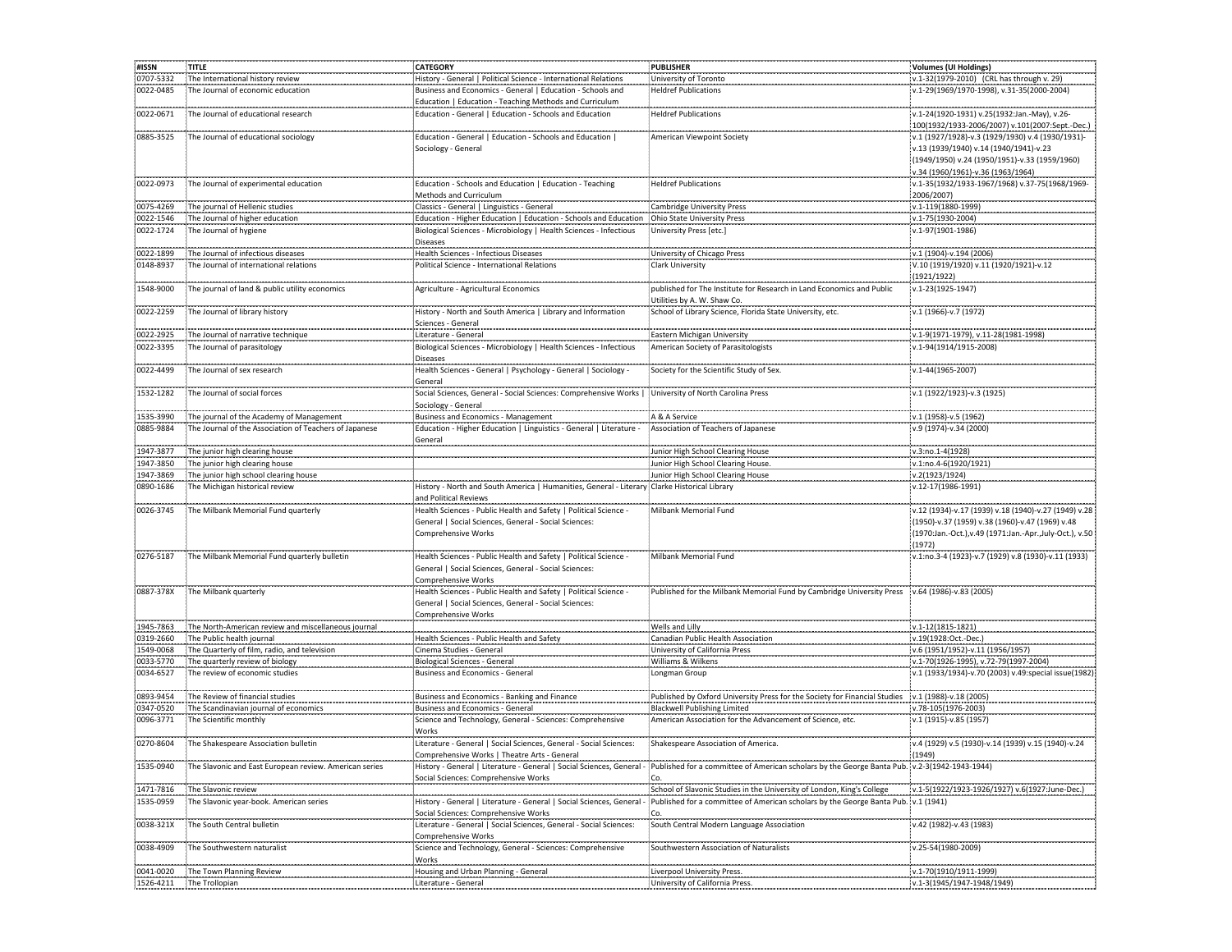| #ISSN                  | TITLE                                                            | <b>CATEGORY</b>                                                                                                                                          | <b>PUBLISHER</b>                                                                                                                                                                      | Volumes (UI Holdings)                                                                                                                                                       |
|------------------------|------------------------------------------------------------------|----------------------------------------------------------------------------------------------------------------------------------------------------------|---------------------------------------------------------------------------------------------------------------------------------------------------------------------------------------|-----------------------------------------------------------------------------------------------------------------------------------------------------------------------------|
| 0707-5332              | The International history review                                 | History - General   Political Science - International Relations                                                                                          | University of Toronto                                                                                                                                                                 | v.1-32(1979-2010) (CRL has through v. 29)                                                                                                                                   |
| 0022-0485              | The Journal of economic education                                | Business and Economics - General   Education - Schools and<br>Education   Education - Teaching Methods and Curriculum                                    | <b>Heldref Publications</b>                                                                                                                                                           | v.1-29(1969/1970-1998), v.31-35(2000-2004)                                                                                                                                  |
| 0022-0671              | The Journal of educational research                              | Education - General   Education - Schools and Education                                                                                                  | <b>Heldref Publications</b>                                                                                                                                                           | v.1-24(1920-1931) v.25(1932:Jan.-May), v.26-                                                                                                                                |
|                        |                                                                  |                                                                                                                                                          |                                                                                                                                                                                       | 100(1932/1933-2006/2007) v.101(2007:Sept.-Dec.)                                                                                                                             |
| 0885-3525              | The Journal of educational sociology                             | Education - General   Education - Schools and Education  <br>Sociology - General                                                                         | American Viewpoint Society                                                                                                                                                            | v.1 (1927/1928)-v.3 (1929/1930) v.4 (1930/1931)-<br>v.13 (1939/1940) v.14 (1940/1941)-v.23<br>(1949/1950) v.24 (1950/1951)-v.33 (1959/1960)                                 |
| 0022-0973              | The Journal of experimental education                            | Education - Schools and Education   Education - Teaching                                                                                                 | <b>Heldref Publications</b>                                                                                                                                                           | v.34 (1960/1961)-v.36 (1963/1964)<br>v.1-35(1932/1933-1967/1968) v.37-75(1968/1969-                                                                                         |
|                        |                                                                  | Methods and Curriculum<br>--------------------------                                                                                                     |                                                                                                                                                                                       | 2006/2007)                                                                                                                                                                  |
| 0075-4269              | The journal of Hellenic studies                                  | Classics - General   Linguistics - General                                                                                                               | <b>Cambridge University Press</b>                                                                                                                                                     | v.1-119(1880-1999)                                                                                                                                                          |
| 0022-1546<br>0022-1724 | The Journal of higher education<br>The Journal of hygiene        | Education - Higher Education   Education - Schools and Education<br>Biological Sciences - Microbiology   Health Sciences - Infectious<br><b>Diseases</b> | : Ohio State University Press<br>University Press [etc.]                                                                                                                              | v.1-75(1930-2004)<br>v.1-97(1901-1986)                                                                                                                                      |
| 0022-1899              | The Journal of infectious diseases                               | Health Sciences - Infectious Diseases                                                                                                                    | University of Chicago Press                                                                                                                                                           | v.1 (1904)-v.194 (2006)                                                                                                                                                     |
| 0148-8937              | The Journal of international relations                           | Political Science - International Relations                                                                                                              | Clark University                                                                                                                                                                      | V.10 (1919/1920) v.11 (1920/1921)-v.12<br>(1921/1922)                                                                                                                       |
| 1548-9000              | The journal of land & public utility economics                   | Agriculture - Agricultural Economics                                                                                                                     | published for The Institute for Research in Land Economics and Public<br>Utilities by A. W. Shaw Co.                                                                                  | v.1-23(1925-1947)                                                                                                                                                           |
| 0022-2259              | The Journal of library history                                   | History - North and South America   Library and Information<br>Sciences - General                                                                        | School of Library Science, Florida State University, etc.                                                                                                                             | v.1 (1966)-v.7 (1972)                                                                                                                                                       |
| 0022-2925              | The Journal of narrative technique                               | Literature - General                                                                                                                                     | Eastern Michigan University                                                                                                                                                           | v.1-9(1971-1979), v.11-28(1981-1998)                                                                                                                                        |
| 0022-3395              | The Journal of parasitology                                      | Biological Sciences - Microbiology   Health Sciences - Infectious<br><b>Diseases</b>                                                                     | American Society of Parasitologists                                                                                                                                                   | v.1-94(1914/1915-2008)                                                                                                                                                      |
| 0022-4499              | The Journal of sex research                                      | Health Sciences - General   Psychology - General   Sociology -<br>General                                                                                | Society for the Scientific Study of Sex.                                                                                                                                              | v.1-44(1965-2007)                                                                                                                                                           |
| 1532-1282              | The Journal of social forces                                     | Social Sciences, General - Social Sciences: Comprehensive Works   University of North Carolina Press<br>Sociology - General                              |                                                                                                                                                                                       | v.1 (1922/1923)-v.3 (1925)                                                                                                                                                  |
| 1535-3990              | The journal of the Academy of Management                         | <b>Business and Economics - Management</b>                                                                                                               | A & A Service                                                                                                                                                                         | v.1 (1958)-v.5 (1962)                                                                                                                                                       |
| 0885-9884              | The Journal of the Association of Teachers of Japanese           | Education - Higher Education   Linguistics - General   Literature -                                                                                      | Association of Teachers of Japanese                                                                                                                                                   | v.9 (1974)-v.34 (2000)                                                                                                                                                      |
|                        |                                                                  | General                                                                                                                                                  |                                                                                                                                                                                       |                                                                                                                                                                             |
| 1947-3877<br>1947-3850 | The junior high clearing house<br>The junior high clearing house |                                                                                                                                                          | Junior High School Clearing House<br>Junior High School Clearing House.                                                                                                               | v.3:no.1-4(1928)<br>v.1:no.4-6(1920/1921)                                                                                                                                   |
| 1947-3869              | The junior high school clearing house                            |                                                                                                                                                          | Junior High School Clearing House                                                                                                                                                     | v.2(1923/1924)                                                                                                                                                              |
| 0890-1686              | The Michigan historical review                                   | History - North and South America   Humanities, General - Literary : Clarke Historical Library<br>and Political Reviews                                  |                                                                                                                                                                                       | v.12-17(1986-1991)                                                                                                                                                          |
| 0026-3745              | The Milbank Memorial Fund quarterly                              | Health Sciences - Public Health and Safety   Political Science -<br>General   Social Sciences, General - Social Sciences:<br><b>Comprehensive Works</b>  | Milbank Memorial Fund                                                                                                                                                                 | v.12 (1934)-v.17 (1939) v.18 (1940)-v.27 (1949) v.28<br>(1950)-v.37 (1959) v.38 (1960)-v.47 (1969) v.48<br>(1970:Jan.-Oct.),v.49 (1971:Jan.-Apr.,July-Oct.), v.50<br>(1972) |
| 0276-5187              | The Milbank Memorial Fund quarterly bulletin                     | Health Sciences - Public Health and Safety   Political Science -<br>General   Social Sciences, General - Social Sciences:<br>Comprehensive Works         | Milbank Memorial Fund                                                                                                                                                                 | v.1:no.3-4 (1923)-v.7 (1929) v.8 (1930)-v.11 (1933)                                                                                                                         |
| 0887-378X              | The Milbank quarterly                                            | Health Sciences - Public Health and Safety   Political Science -<br>General   Social Sciences, General - Social Sciences:<br>Comprehensive Works         | Published for the Milbank Memorial Fund by Cambridge University Press v.64 (1986)-v.83 (2005)                                                                                         |                                                                                                                                                                             |
| 1945-7863              | The North-American review and miscellaneous journal              |                                                                                                                                                          | Wells and Lilly                                                                                                                                                                       | v.1-12(1815-1821)                                                                                                                                                           |
| 0319-2660              | The Public health journal                                        | Health Sciences - Public Health and Safety                                                                                                               | Canadian Public Health Association                                                                                                                                                    | v.19(1928:Oct.-Dec.)                                                                                                                                                        |
| 1549-0068              | The Quarterly of film, radio, and television                     | Cinema Studies - General                                                                                                                                 | University of California Press                                                                                                                                                        | v.6 (1951/1952)-v.11 (1956/1957)                                                                                                                                            |
| 0033-5770              | The quarterly review of biology                                  | <b>Biological Sciences - General</b>                                                                                                                     | Williams & Wilkens                                                                                                                                                                    | v.1-70(1926-1995), v.72-79(1997-2004)                                                                                                                                       |
| 0034-6527              | The review of economic studies                                   | <b>Business and Economics - General</b>                                                                                                                  | Longman Group                                                                                                                                                                         | v.1 (1933/1934)-v.70 (2003) v.49:special issue(1982)                                                                                                                        |
| 0893-9454              | The Review of financial studies                                  | Business and Economics - Banking and Finance                                                                                                             | Published by Oxford University Press for the Society for Financial Studies                                                                                                            | v.1 (1988)-v.18 (2005)                                                                                                                                                      |
| 0347-0520              | The Scandinavian journal of economics                            | Business and Economics - General                                                                                                                         | Blackwell Publishing Limited                                                                                                                                                          | v.78-105(1976-2003)                                                                                                                                                         |
| 0096-3771              | The Scientific monthly                                           | Science and Technology, General - Sciences: Comprehensive<br>Works                                                                                       | American Association for the Advancement of Science, etc.                                                                                                                             | v.1 (1915)-v.85 (1957)                                                                                                                                                      |
| 0270-8604              | The Shakespeare Association bulletin                             | Literature - General   Social Sciences, General - Social Sciences:<br>Comprehensive Works   Theatre Arts - General                                       | Shakespeare Association of America.<br>                                                                                                                                               | v.4 (1929) v.5 (1930)-v.14 (1939) v.15 (1940)-v.24<br>(1949)                                                                                                                |
| 1535-0940              | The Slavonic and East European review. American series           | Social Sciences: Comprehensive Works                                                                                                                     | History - General   Literature - General   Social Sciences, General - Published for a committee of American scholars by the George Banta Pub. v.2-3(1942-1943-1944)<br>$\mathsf{Co}.$ |                                                                                                                                                                             |
| 1471-7816              | The Slavonic review                                              |                                                                                                                                                          | School of Slavonic Studies in the University of London, King's College                                                                                                                | v.1-5(1922/1923-1926/1927) v.6(1927:June-Dec.)                                                                                                                              |
| 1535-0959              | The Slavonic vear-book, American series                          | History - General   Literature - General   Social Sciences, General<br>Social Sciences: Comprehensive Works                                              | Published for a committee of American scholars by the George Banta Pub. v.1 (1941)<br>Co.                                                                                             |                                                                                                                                                                             |
| 0038-321X              | The South Central bulletin                                       | Literature - General   Social Sciences, General - Social Sciences:<br>Comprehensive Works                                                                | South Central Modern Language Association                                                                                                                                             | v.42 (1982)-v.43 (1983)                                                                                                                                                     |
| 0038-4909              | The Southwestern naturalist                                      | Science and Technology, General - Sciences: Comprehensive<br>Works                                                                                       | Southwestern Association of Naturalists                                                                                                                                               | v.25-54(1980-2009)                                                                                                                                                          |
| 0041-0020              | The Town Planning Review                                         | Housing and Urban Planning - General                                                                                                                     | Liverpool University Press.                                                                                                                                                           | v.1-70(1910/1911-1999)                                                                                                                                                      |
| 1526-4211              | The Trollopian                                                   | Literature - General                                                                                                                                     | University of California Press.                                                                                                                                                       | v.1-3(1945/1947-1948/1949)                                                                                                                                                  |